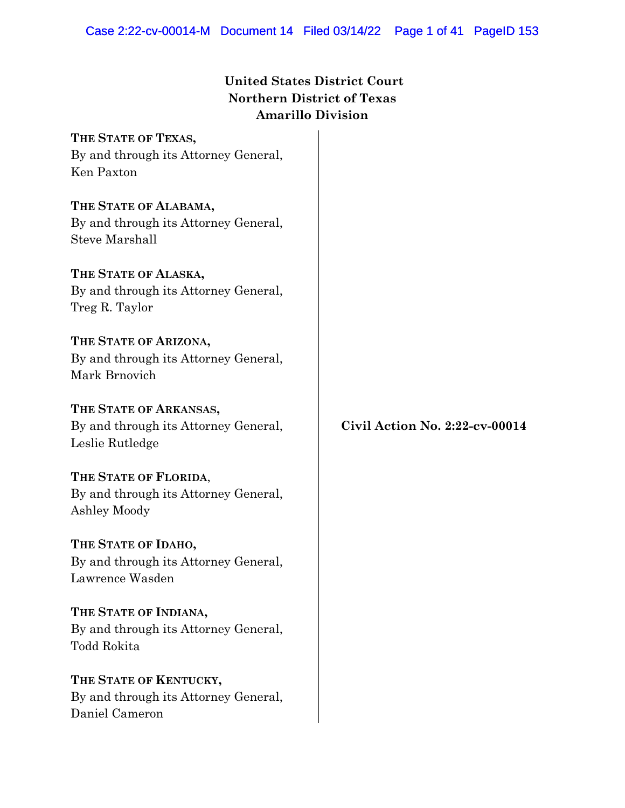## **United States District Court Northern District of Texas Amarillo Division**

**THE STATE OF TEXAS,** By and through its Attorney General, Ken Paxton **THE STATE OF ALABAMA,** By and through its Attorney General, Steve Marshall **THE STATE OF ALASKA,** By and through its Attorney General, Treg R. Taylor **THE STATE OF ARIZONA,** By and through its Attorney General, Mark Brnovich **THE STATE OF ARKANSAS,** By and through its Attorney General, Leslie Rutledge **THE STATE OF FLORIDA**, By and through its Attorney General, Ashley Moody **THE STATE OF IDAHO,** By and through its Attorney General, Lawrence Wasden **THE STATE OF INDIANA,** By and through its Attorney General, Todd Rokita **THE STATE OF KENTUCKY,** By and through its Attorney General, **Civil Action No. 2:22-cv-00014**

Daniel Cameron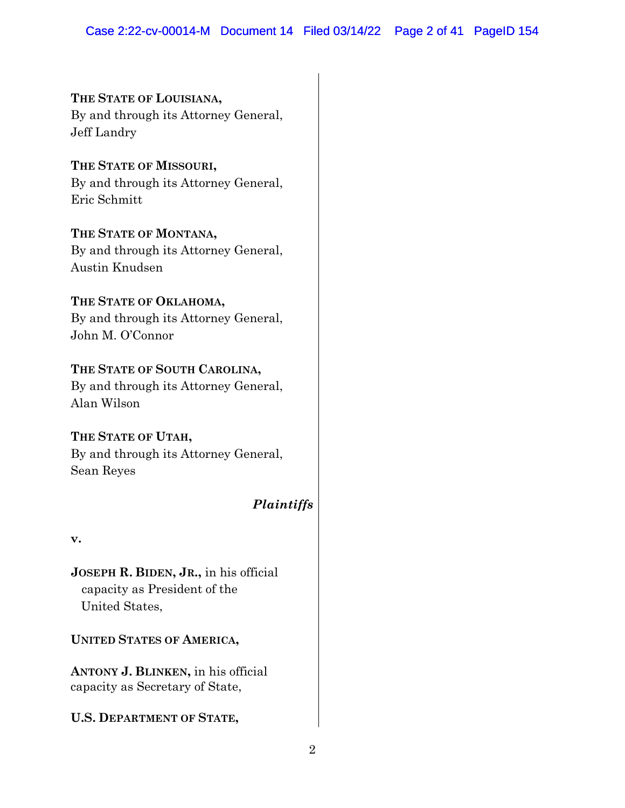**THE STATE OF LOUISIANA,** By and through its Attorney General, Jeff Landry

**THE STATE OF MISSOURI,** By and through its Attorney General, Eric Schmitt

**THE STATE OF MONTANA,** By and through its Attorney General, Austin Knudsen

**THE STATE OF OKLAHOMA,** By and through its Attorney General, John M. O'Connor

# **THE STATE OF SOUTH CAROLINA,**

By and through its Attorney General, Alan Wilson

**THE STATE OF UTAH,** By and through its Attorney General, Sean Reyes

# *Plaintiffs*

**v.**

**JOSEPH R. BIDEN, JR.,** in his official capacity as President of the United States,

**UNITED STATES OF AMERICA,**

**ANTONY J. BLINKEN,** in his official capacity as Secretary of State,

**U.S. DEPARTMENT OF STATE,**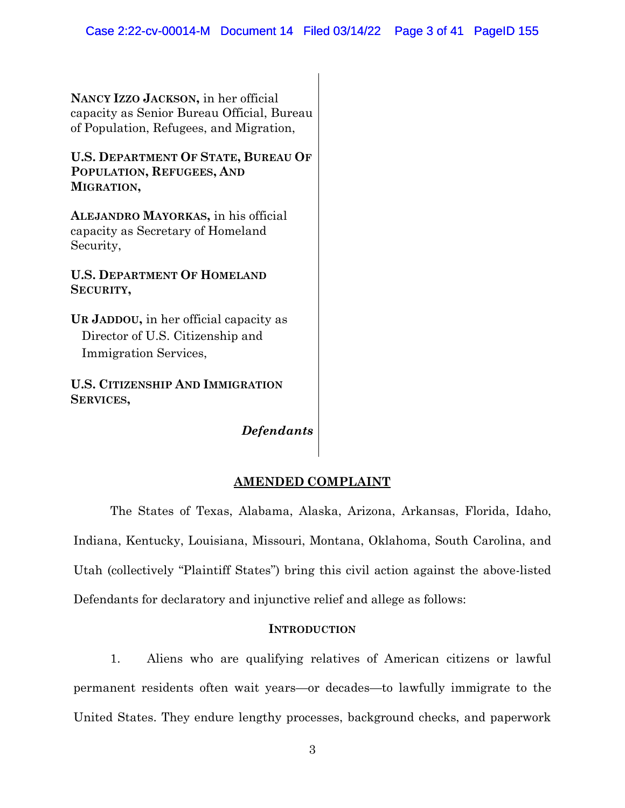**NANCY IZZO JACKSON,** in her official capacity as Senior Bureau Official, Bureau of Population, Refugees, and Migration,

**U.S. DEPARTMENT OF STATE, BUREAU OF POPULATION, REFUGEES, AND MIGRATION,**

**ALEJANDRO MAYORKAS,** in his official capacity as Secretary of Homeland Security,

**U.S. DEPARTMENT OF HOMELAND SECURITY,**

**UR JADDOU,** in her official capacity as Director of U.S. Citizenship and Immigration Services,

**U.S. CITIZENSHIP AND IMMIGRATION SERVICES,**

*Defendants*

## **AMENDED COMPLAINT**

The States of Texas, Alabama, Alaska, Arizona, Arkansas, Florida, Idaho, Indiana, Kentucky, Louisiana, Missouri, Montana, Oklahoma, South Carolina, and Utah (collectively "Plaintiff States") bring this civil action against the above-listed Defendants for declaratory and injunctive relief and allege as follows:

## **INTRODUCTION**

1. Aliens who are qualifying relatives of American citizens or lawful permanent residents often wait years—or decades—to lawfully immigrate to the United States. They endure lengthy processes, background checks, and paperwork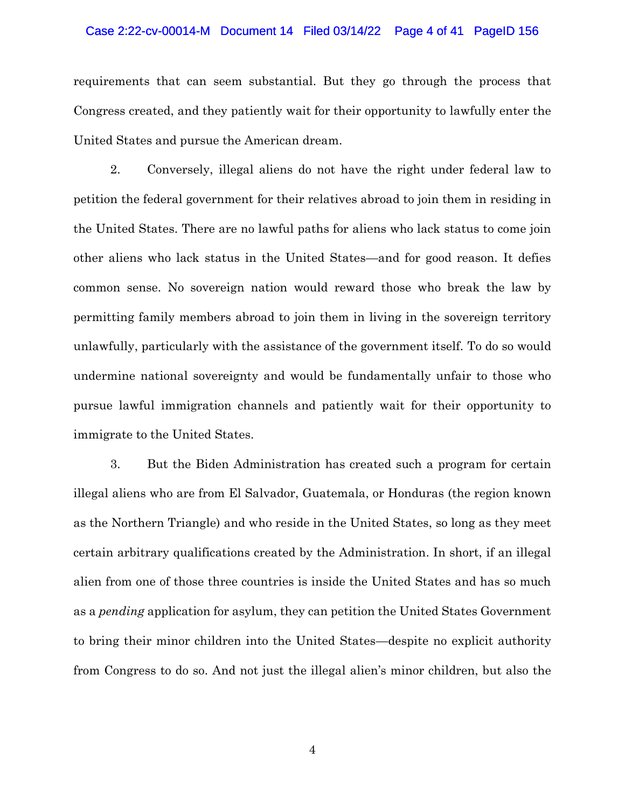#### Case 2:22-cv-00014-M Document 14 Filed 03/14/22 Page 4 of 41 PageID 156

requirements that can seem substantial. But they go through the process that Congress created, and they patiently wait for their opportunity to lawfully enter the United States and pursue the American dream.

2. Conversely, illegal aliens do not have the right under federal law to petition the federal government for their relatives abroad to join them in residing in the United States. There are no lawful paths for aliens who lack status to come join other aliens who lack status in the United States—and for good reason. It defies common sense. No sovereign nation would reward those who break the law by permitting family members abroad to join them in living in the sovereign territory unlawfully, particularly with the assistance of the government itself. To do so would undermine national sovereignty and would be fundamentally unfair to those who pursue lawful immigration channels and patiently wait for their opportunity to immigrate to the United States.

3. But the Biden Administration has created such a program for certain illegal aliens who are from El Salvador, Guatemala, or Honduras (the region known as the Northern Triangle) and who reside in the United States, so long as they meet certain arbitrary qualifications created by the Administration. In short, if an illegal alien from one of those three countries is inside the United States and has so much as a *pending* application for asylum, they can petition the United States Government to bring their minor children into the United States—despite no explicit authority from Congress to do so. And not just the illegal alien's minor children, but also the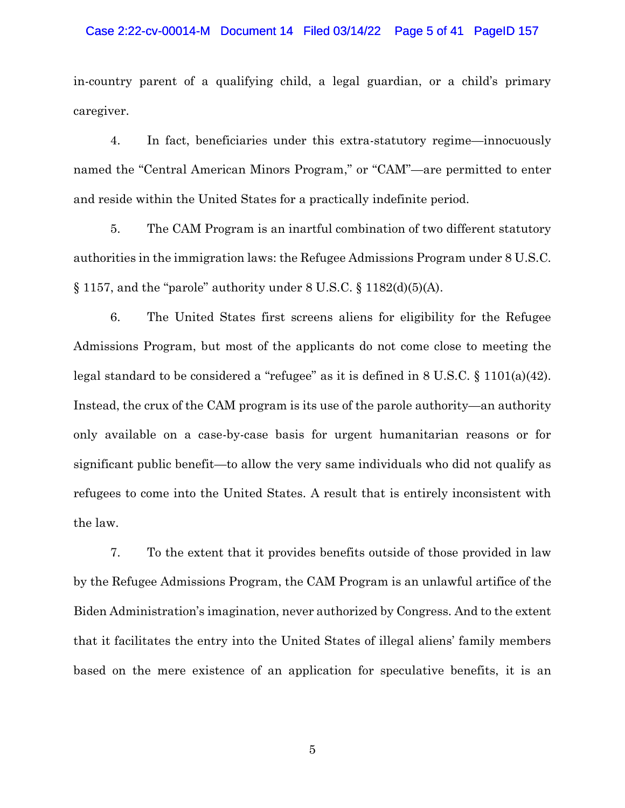#### Case 2:22-cv-00014-M Document 14 Filed 03/14/22 Page 5 of 41 PageID 157

in-country parent of a qualifying child, a legal guardian, or a child's primary caregiver.

4. In fact, beneficiaries under this extra-statutory regime—innocuously named the "Central American Minors Program," or "CAM"—are permitted to enter and reside within the United States for a practically indefinite period.

5. The CAM Program is an inartful combination of two different statutory authorities in the immigration laws: the Refugee Admissions Program under 8 U.S.C.  $\S 1157$ , and the "parole" authority under 8 U.S.C.  $\S 1182(d)(5)(A)$ .

6. The United States first screens aliens for eligibility for the Refugee Admissions Program, but most of the applicants do not come close to meeting the legal standard to be considered a "refugee" as it is defined in 8 U.S.C. § 1101(a)(42). Instead, the crux of the CAM program is its use of the parole authority—an authority only available on a case-by-case basis for urgent humanitarian reasons or for significant public benefit—to allow the very same individuals who did not qualify as refugees to come into the United States. A result that is entirely inconsistent with the law.

7. To the extent that it provides benefits outside of those provided in law by the Refugee Admissions Program, the CAM Program is an unlawful artifice of the Biden Administration's imagination, never authorized by Congress. And to the extent that it facilitates the entry into the United States of illegal aliens' family members based on the mere existence of an application for speculative benefits, it is an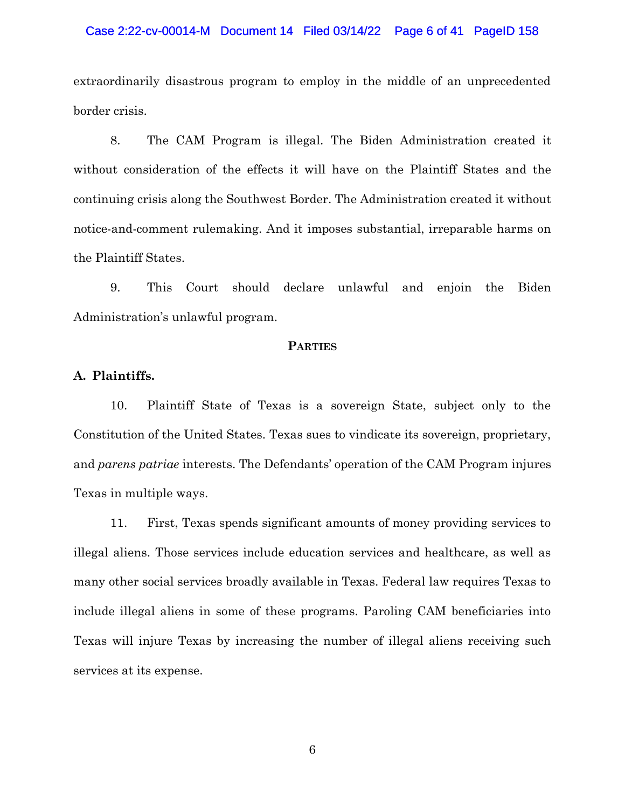#### Case 2:22-cv-00014-M Document 14 Filed 03/14/22 Page 6 of 41 PageID 158

extraordinarily disastrous program to employ in the middle of an unprecedented border crisis.

8. The CAM Program is illegal. The Biden Administration created it without consideration of the effects it will have on the Plaintiff States and the continuing crisis along the Southwest Border. The Administration created it without notice-and-comment rulemaking. And it imposes substantial, irreparable harms on the Plaintiff States.

9. This Court should declare unlawful and enjoin the Biden Administration's unlawful program.

#### **PARTIES**

## **A. Plaintiffs.**

10. Plaintiff State of Texas is a sovereign State, subject only to the Constitution of the United States. Texas sues to vindicate its sovereign, proprietary, and *parens patriae* interests. The Defendants' operation of the CAM Program injures Texas in multiple ways.

11. First, Texas spends significant amounts of money providing services to illegal aliens. Those services include education services and healthcare, as well as many other social services broadly available in Texas. Federal law requires Texas to include illegal aliens in some of these programs. Paroling CAM beneficiaries into Texas will injure Texas by increasing the number of illegal aliens receiving such services at its expense.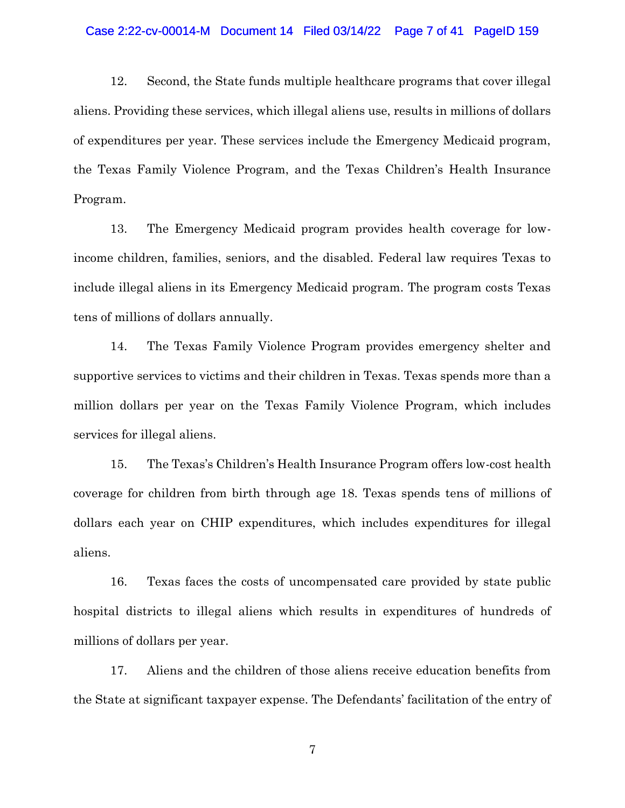#### Case 2:22-cv-00014-M Document 14 Filed 03/14/22 Page 7 of 41 PageID 159

12. Second, the State funds multiple healthcare programs that cover illegal aliens. Providing these services, which illegal aliens use, results in millions of dollars of expenditures per year. These services include the Emergency Medicaid program, the Texas Family Violence Program, and the Texas Children's Health Insurance Program.

13. The Emergency Medicaid program provides health coverage for lowincome children, families, seniors, and the disabled. Federal law requires Texas to include illegal aliens in its Emergency Medicaid program. The program costs Texas tens of millions of dollars annually.

14. The Texas Family Violence Program provides emergency shelter and supportive services to victims and their children in Texas. Texas spends more than a million dollars per year on the Texas Family Violence Program, which includes services for illegal aliens.

15. The Texas's Children's Health Insurance Program offers low-cost health coverage for children from birth through age 18. Texas spends tens of millions of dollars each year on CHIP expenditures, which includes expenditures for illegal aliens.

16. Texas faces the costs of uncompensated care provided by state public hospital districts to illegal aliens which results in expenditures of hundreds of millions of dollars per year.

17. Aliens and the children of those aliens receive education benefits from the State at significant taxpayer expense. The Defendants' facilitation of the entry of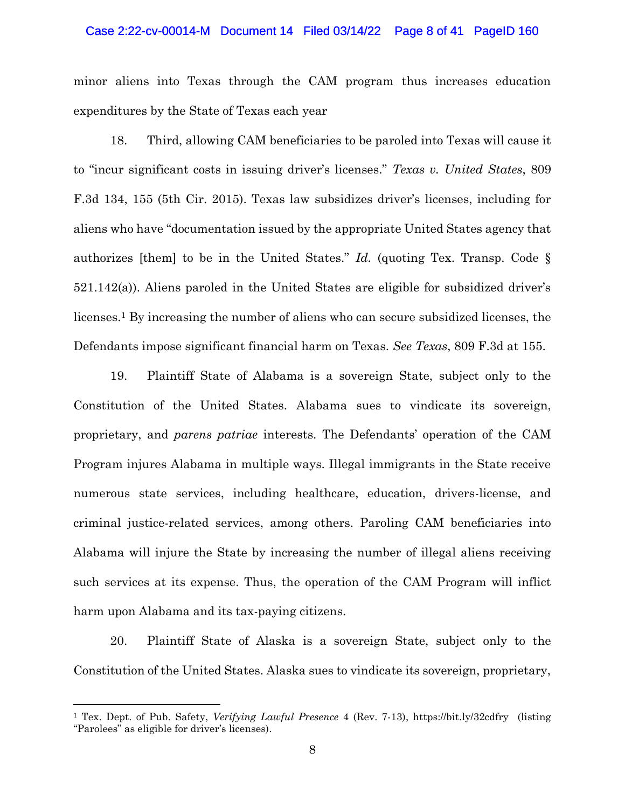#### Case 2:22-cv-00014-M Document 14 Filed 03/14/22 Page 8 of 41 PageID 160

minor aliens into Texas through the CAM program thus increases education expenditures by the State of Texas each year

18. Third, allowing CAM beneficiaries to be paroled into Texas will cause it to "incur significant costs in issuing driver's licenses." *Texas v. United States*, 809 F.3d 134, 155 (5th Cir. 2015). Texas law subsidizes driver's licenses, including for aliens who have "documentation issued by the appropriate United States agency that authorizes [them] to be in the United States." *Id.* (quoting Tex. Transp. Code § 521.142(a)). Aliens paroled in the United States are eligible for subsidized driver's licenses.<sup>1</sup> By increasing the number of aliens who can secure subsidized licenses, the Defendants impose significant financial harm on Texas. *See Texas*, 809 F.3d at 155.

19. Plaintiff State of Alabama is a sovereign State, subject only to the Constitution of the United States. Alabama sues to vindicate its sovereign, proprietary, and *parens patriae* interests. The Defendants' operation of the CAM Program injures Alabama in multiple ways. Illegal immigrants in the State receive numerous state services, including healthcare, education, drivers-license, and criminal justice-related services, among others. Paroling CAM beneficiaries into Alabama will injure the State by increasing the number of illegal aliens receiving such services at its expense. Thus, the operation of the CAM Program will inflict harm upon Alabama and its tax-paying citizens.

20. Plaintiff State of Alaska is a sovereign State, subject only to the Constitution of the United States. Alaska sues to vindicate its sovereign, proprietary,

<sup>1</sup> Tex. Dept. of Pub. Safety, *Verifying Lawful Presence* 4 (Rev. 7-13), https://bit.ly/32cdfry (listing "Parolees" as eligible for driver's licenses).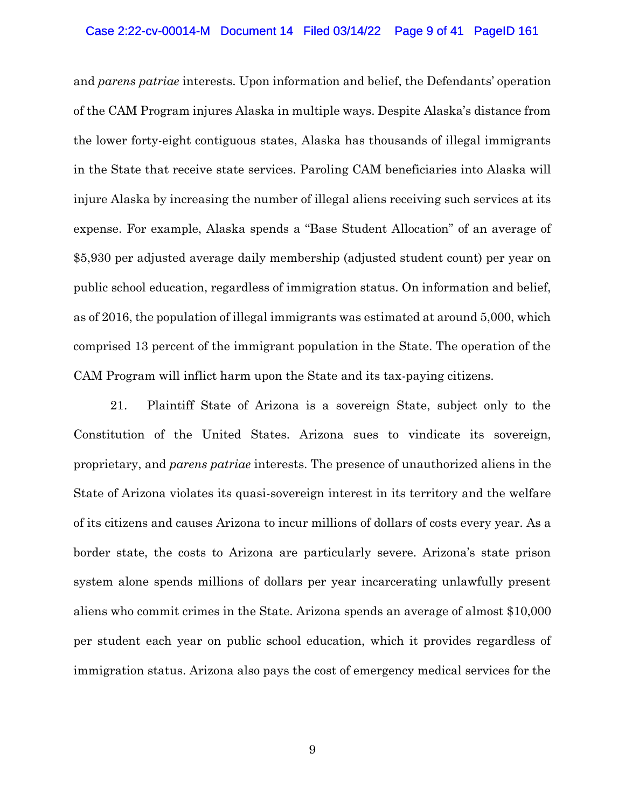#### Case 2:22-cv-00014-M Document 14 Filed 03/14/22 Page 9 of 41 PageID 161

and *parens patriae* interests. Upon information and belief, the Defendants' operation of the CAM Program injures Alaska in multiple ways. Despite Alaska's distance from the lower forty-eight contiguous states, Alaska has thousands of illegal immigrants in the State that receive state services. Paroling CAM beneficiaries into Alaska will injure Alaska by increasing the number of illegal aliens receiving such services at its expense. For example, Alaska spends a "Base Student Allocation" of an average of \$5,930 per adjusted average daily membership (adjusted student count) per year on public school education, regardless of immigration status. On information and belief, as of 2016, the population of illegal immigrants was estimated at around 5,000, which comprised 13 percent of the immigrant population in the State. The operation of the CAM Program will inflict harm upon the State and its tax-paying citizens.

21. Plaintiff State of Arizona is a sovereign State, subject only to the Constitution of the United States. Arizona sues to vindicate its sovereign, proprietary, and *parens patriae* interests. The presence of unauthorized aliens in the State of Arizona violates its quasi-sovereign interest in its territory and the welfare of its citizens and causes Arizona to incur millions of dollars of costs every year. As a border state, the costs to Arizona are particularly severe. Arizona's state prison system alone spends millions of dollars per year incarcerating unlawfully present aliens who commit crimes in the State. Arizona spends an average of almost \$10,000 per student each year on public school education, which it provides regardless of immigration status. Arizona also pays the cost of emergency medical services for the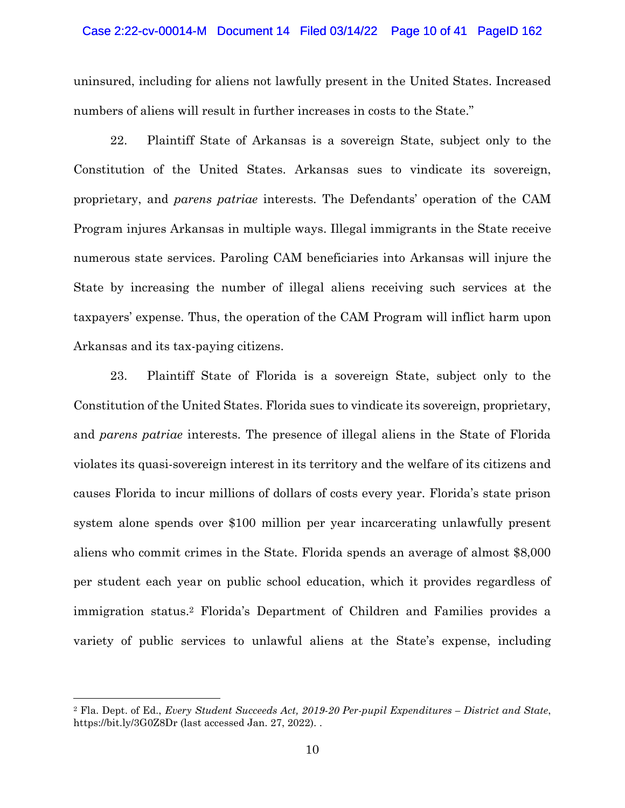#### Case 2:22-cv-00014-M Document 14 Filed 03/14/22 Page 10 of 41 PageID 162

uninsured, including for aliens not lawfully present in the United States. Increased numbers of aliens will result in further increases in costs to the State."

22. Plaintiff State of Arkansas is a sovereign State, subject only to the Constitution of the United States. Arkansas sues to vindicate its sovereign, proprietary, and *parens patriae* interests. The Defendants' operation of the CAM Program injures Arkansas in multiple ways. Illegal immigrants in the State receive numerous state services. Paroling CAM beneficiaries into Arkansas will injure the State by increasing the number of illegal aliens receiving such services at the taxpayers' expense. Thus, the operation of the CAM Program will inflict harm upon Arkansas and its tax-paying citizens.

23. Plaintiff State of Florida is a sovereign State, subject only to the Constitution of the United States. Florida sues to vindicate its sovereign, proprietary, and *parens patriae* interests. The presence of illegal aliens in the State of Florida violates its quasi-sovereign interest in its territory and the welfare of its citizens and causes Florida to incur millions of dollars of costs every year. Florida's state prison system alone spends over \$100 million per year incarcerating unlawfully present aliens who commit crimes in the State. Florida spends an average of almost \$8,000 per student each year on public school education, which it provides regardless of immigration status.<sup>2</sup> Florida's Department of Children and Families provides a variety of public services to unlawful aliens at the State's expense, including

<sup>2</sup> Fla. Dept. of Ed., *Every Student Succeeds Act, 2019-20 Per-pupil Expenditures – District and State*, https://bit.ly/3G0Z8Dr (last accessed Jan. 27, 2022). .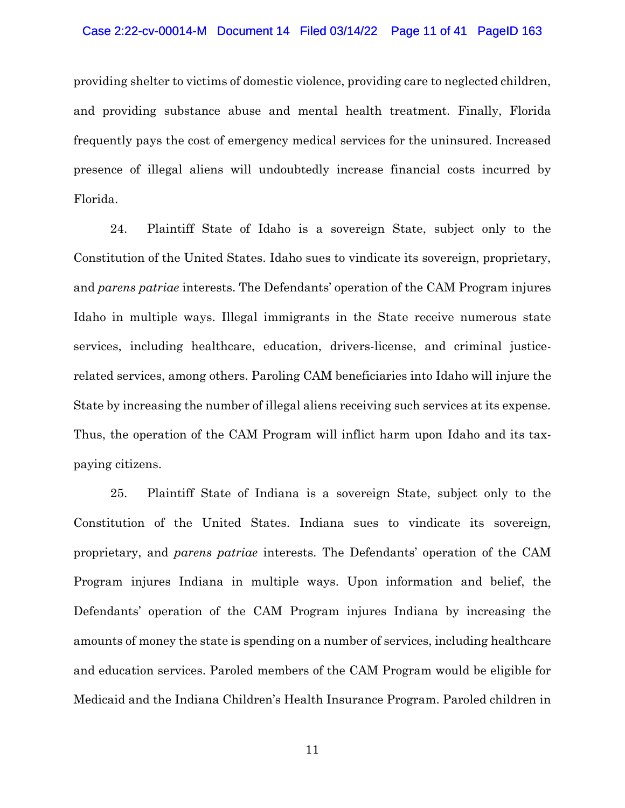#### Case 2:22-cv-00014-M Document 14 Filed 03/14/22 Page 11 of 41 PageID 163

providing shelter to victims of domestic violence, providing care to neglected children, and providing substance abuse and mental health treatment. Finally, Florida frequently pays the cost of emergency medical services for the uninsured. Increased presence of illegal aliens will undoubtedly increase financial costs incurred by Florida.

24. Plaintiff State of Idaho is a sovereign State, subject only to the Constitution of the United States. Idaho sues to vindicate its sovereign, proprietary, and *parens patriae* interests. The Defendants' operation of the CAM Program injures Idaho in multiple ways. Illegal immigrants in the State receive numerous state services, including healthcare, education, drivers-license, and criminal justicerelated services, among others. Paroling CAM beneficiaries into Idaho will injure the State by increasing the number of illegal aliens receiving such services at its expense. Thus, the operation of the CAM Program will inflict harm upon Idaho and its taxpaying citizens.

25. Plaintiff State of Indiana is a sovereign State, subject only to the Constitution of the United States. Indiana sues to vindicate its sovereign, proprietary, and *parens patriae* interests. The Defendants' operation of the CAM Program injures Indiana in multiple ways. Upon information and belief, the Defendants' operation of the CAM Program injures Indiana by increasing the amounts of money the state is spending on a number of services, including healthcare and education services. Paroled members of the CAM Program would be eligible for Medicaid and the Indiana Children's Health Insurance Program. Paroled children in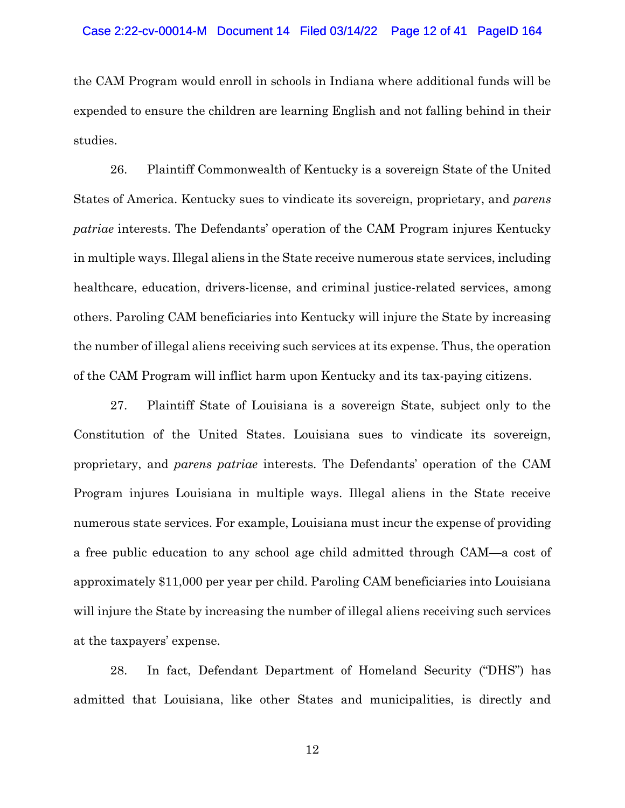the CAM Program would enroll in schools in Indiana where additional funds will be expended to ensure the children are learning English and not falling behind in their studies.

26. Plaintiff Commonwealth of Kentucky is a sovereign State of the United States of America. Kentucky sues to vindicate its sovereign, proprietary, and *parens patriae* interests. The Defendants' operation of the CAM Program injures Kentucky in multiple ways. Illegal aliens in the State receive numerous state services, including healthcare, education, drivers-license, and criminal justice-related services, among others. Paroling CAM beneficiaries into Kentucky will injure the State by increasing the number of illegal aliens receiving such services at its expense. Thus, the operation of the CAM Program will inflict harm upon Kentucky and its tax-paying citizens.

27. Plaintiff State of Louisiana is a sovereign State, subject only to the Constitution of the United States. Louisiana sues to vindicate its sovereign, proprietary, and *parens patriae* interests. The Defendants' operation of the CAM Program injures Louisiana in multiple ways. Illegal aliens in the State receive numerous state services. For example, Louisiana must incur the expense of providing a free public education to any school age child admitted through CAM—a cost of approximately \$11,000 per year per child. Paroling CAM beneficiaries into Louisiana will injure the State by increasing the number of illegal aliens receiving such services at the taxpayers' expense.

28. In fact, Defendant Department of Homeland Security ("DHS") has admitted that Louisiana, like other States and municipalities, is directly and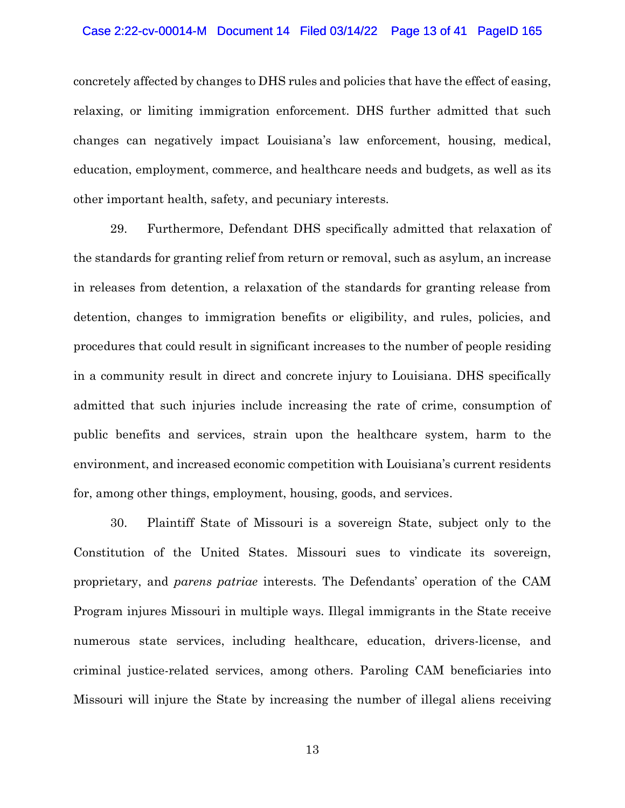#### Case 2:22-cv-00014-M Document 14 Filed 03/14/22 Page 13 of 41 PageID 165

concretely affected by changes to DHS rules and policies that have the effect of easing, relaxing, or limiting immigration enforcement. DHS further admitted that such changes can negatively impact Louisiana's law enforcement, housing, medical, education, employment, commerce, and healthcare needs and budgets, as well as its other important health, safety, and pecuniary interests.

29. Furthermore, Defendant DHS specifically admitted that relaxation of the standards for granting relief from return or removal, such as asylum, an increase in releases from detention, a relaxation of the standards for granting release from detention, changes to immigration benefits or eligibility, and rules, policies, and procedures that could result in significant increases to the number of people residing in a community result in direct and concrete injury to Louisiana. DHS specifically admitted that such injuries include increasing the rate of crime, consumption of public benefits and services, strain upon the healthcare system, harm to the environment, and increased economic competition with Louisiana's current residents for, among other things, employment, housing, goods, and services.

30. Plaintiff State of Missouri is a sovereign State, subject only to the Constitution of the United States. Missouri sues to vindicate its sovereign, proprietary, and *parens patriae* interests. The Defendants' operation of the CAM Program injures Missouri in multiple ways. Illegal immigrants in the State receive numerous state services, including healthcare, education, drivers-license, and criminal justice-related services, among others. Paroling CAM beneficiaries into Missouri will injure the State by increasing the number of illegal aliens receiving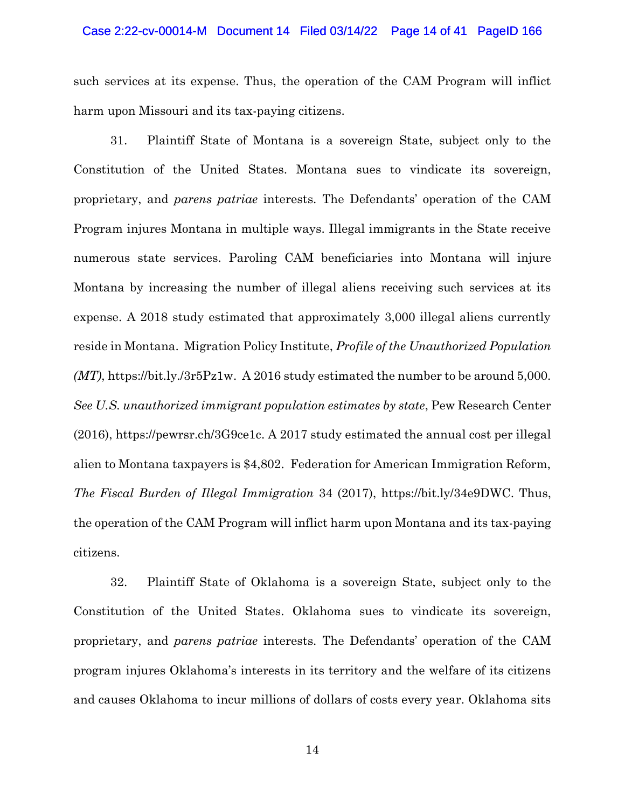#### Case 2:22-cv-00014-M Document 14 Filed 03/14/22 Page 14 of 41 PageID 166

such services at its expense. Thus, the operation of the CAM Program will inflict harm upon Missouri and its tax-paying citizens.

31. Plaintiff State of Montana is a sovereign State, subject only to the Constitution of the United States. Montana sues to vindicate its sovereign, proprietary, and *parens patriae* interests. The Defendants' operation of the CAM Program injures Montana in multiple ways. Illegal immigrants in the State receive numerous state services. Paroling CAM beneficiaries into Montana will injure Montana by increasing the number of illegal aliens receiving such services at its expense. A 2018 study estimated that approximately 3,000 illegal aliens currently reside in Montana. Migration Policy Institute, *Profile of the Unauthorized Population (MT)*, https://bit.ly./3r5Pz1w. A 2016 study estimated the number to be around 5,000. *See U.S. unauthorized immigrant population estimates by state*, Pew Research Center (2016), https://pewrsr.ch/3G9ce1c. A 2017 study estimated the annual cost per illegal alien to Montana taxpayers is \$4,802. Federation for American Immigration Reform, *The Fiscal Burden of Illegal Immigration* 34 (2017), https://bit.ly/34e9DWC. Thus, the operation of the CAM Program will inflict harm upon Montana and its tax-paying citizens.

32. Plaintiff State of Oklahoma is a sovereign State, subject only to the Constitution of the United States. Oklahoma sues to vindicate its sovereign, proprietary, and *parens patriae* interests. The Defendants' operation of the CAM program injures Oklahoma's interests in its territory and the welfare of its citizens and causes Oklahoma to incur millions of dollars of costs every year. Oklahoma sits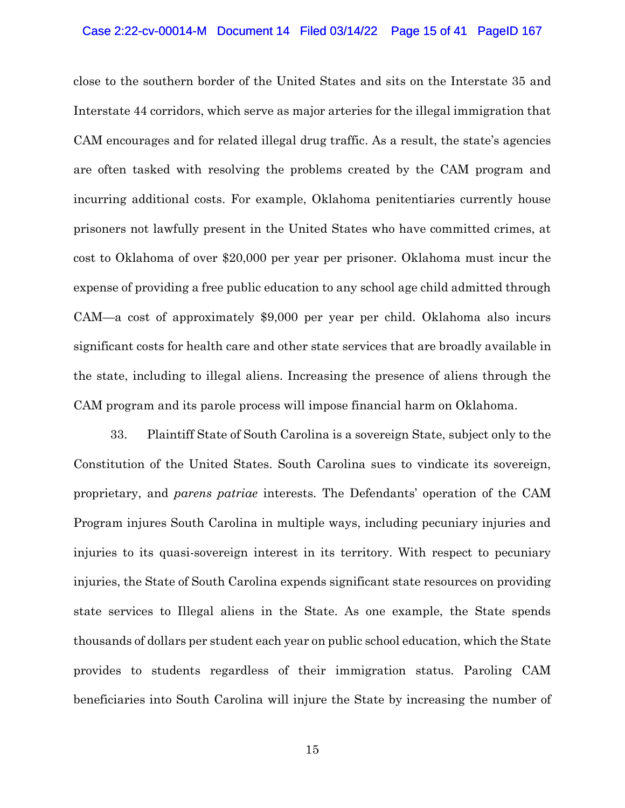#### Case 2:22-cv-00014-M Document 14 Filed 03/14/22 Page 15 of 41 PageID 167

close to the southern border of the United States and sits on the Interstate 35 and Interstate 44 corridors, which serve as major arteries for the illegal immigration that CAM encourages and for related illegal drug traffic. As a result, the state's agencies are often tasked with resolving the problems created by the CAM program and incurring additional costs. For example, Oklahoma penitentiaries currently house prisoners not lawfully present in the United States who have committed crimes, at cost to Oklahoma of over \$20,000 per year per prisoner. Oklahoma must incur the expense of providing a free public education to any school age child admitted through CAM—a cost of approximately \$9,000 per year per child. Oklahoma also incurs significant costs for health care and other state services that are broadly available in the state, including to illegal aliens. Increasing the presence of aliens through the CAM program and its parole process will impose financial harm on Oklahoma.

33. Plaintiff State of South Carolina is a sovereign State, subject only to the Constitution of the United States. South Carolina sues to vindicate its sovereign, proprietary, and *parens patriae* interests. The Defendants' operation of the CAM Program injures South Carolina in multiple ways, including pecuniary injuries and injuries to its quasi-sovereign interest in its territory. With respect to pecuniary injuries, the State of South Carolina expends significant state resources on providing state services to Illegal aliens in the State. As one example, the State spends thousands of dollars per student each year on public school education, which the State provides to students regardless of their immigration status. Paroling CAM beneficiaries into South Carolina will injure the State by increasing the number of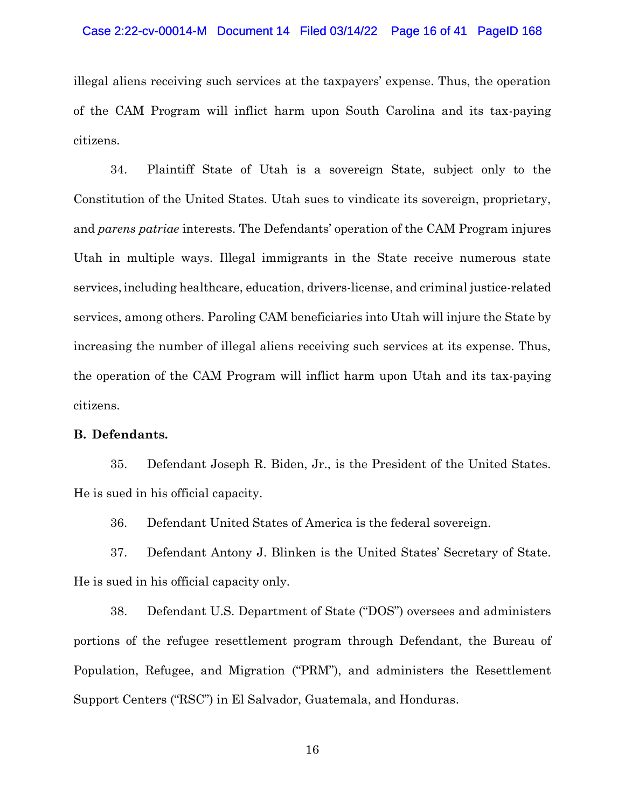#### Case 2:22-cv-00014-M Document 14 Filed 03/14/22 Page 16 of 41 PageID 168

illegal aliens receiving such services at the taxpayers' expense. Thus, the operation of the CAM Program will inflict harm upon South Carolina and its tax-paying citizens.

34. Plaintiff State of Utah is a sovereign State, subject only to the Constitution of the United States. Utah sues to vindicate its sovereign, proprietary, and *parens patriae* interests. The Defendants' operation of the CAM Program injures Utah in multiple ways. Illegal immigrants in the State receive numerous state services, including healthcare, education, drivers-license, and criminal justice-related services, among others. Paroling CAM beneficiaries into Utah will injure the State by increasing the number of illegal aliens receiving such services at its expense. Thus, the operation of the CAM Program will inflict harm upon Utah and its tax-paying citizens.

## **B. Defendants.**

35. Defendant Joseph R. Biden, Jr., is the President of the United States. He is sued in his official capacity.

36. Defendant United States of America is the federal sovereign.

37. Defendant Antony J. Blinken is the United States' Secretary of State. He is sued in his official capacity only.

38. Defendant U.S. Department of State ("DOS") oversees and administers portions of the refugee resettlement program through Defendant, the Bureau of Population, Refugee, and Migration ("PRM"), and administers the Resettlement Support Centers ("RSC") in El Salvador, Guatemala, and Honduras.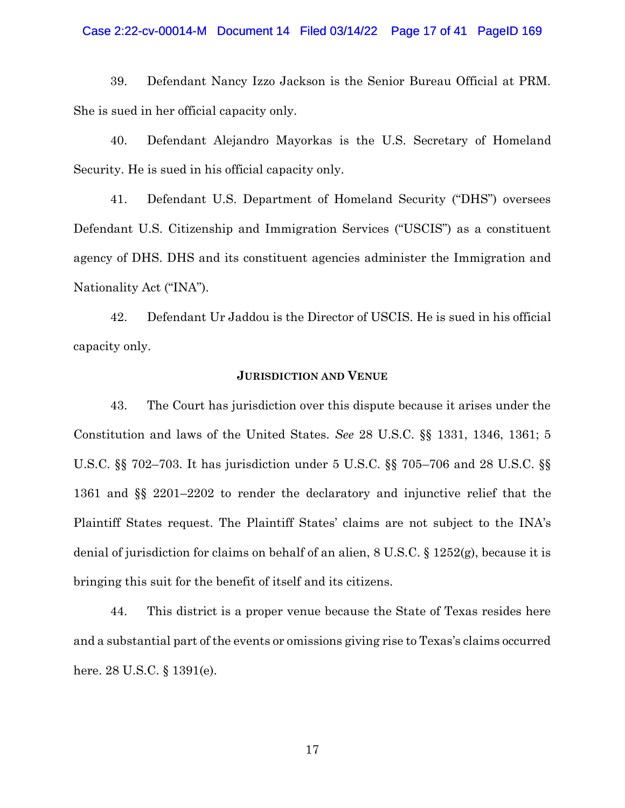#### Case 2:22-cv-00014-M Document 14 Filed 03/14/22 Page 17 of 41 PageID 169

39. Defendant Nancy Izzo Jackson is the Senior Bureau Official at PRM. She is sued in her official capacity only.

40. Defendant Alejandro Mayorkas is the U.S. Secretary of Homeland Security. He is sued in his official capacity only.

41. Defendant U.S. Department of Homeland Security ("DHS") oversees Defendant U.S. Citizenship and Immigration Services ("USCIS") as a constituent agency of DHS. DHS and its constituent agencies administer the Immigration and Nationality Act ("INA").

42. Defendant Ur Jaddou is the Director of USCIS. He is sued in his official capacity only.

## **JURISDICTION AND VENUE**

43. The Court has jurisdiction over this dispute because it arises under the Constitution and laws of the United States. *See* 28 U.S.C. §§ 1331, 1346, 1361; 5 U.S.C. §§ 702–703. It has jurisdiction under 5 U.S.C. §§ 705–706 and 28 U.S.C. §§ 1361 and §§ 2201–2202 to render the declaratory and injunctive relief that the Plaintiff States request. The Plaintiff States' claims are not subject to the INA's denial of jurisdiction for claims on behalf of an alien, 8 U.S.C. § 1252(g), because it is bringing this suit for the benefit of itself and its citizens.

44. This district is a proper venue because the State of Texas resides here and a substantial part of the events or omissions giving rise to Texas's claims occurred here. 28 U.S.C. § 1391(e).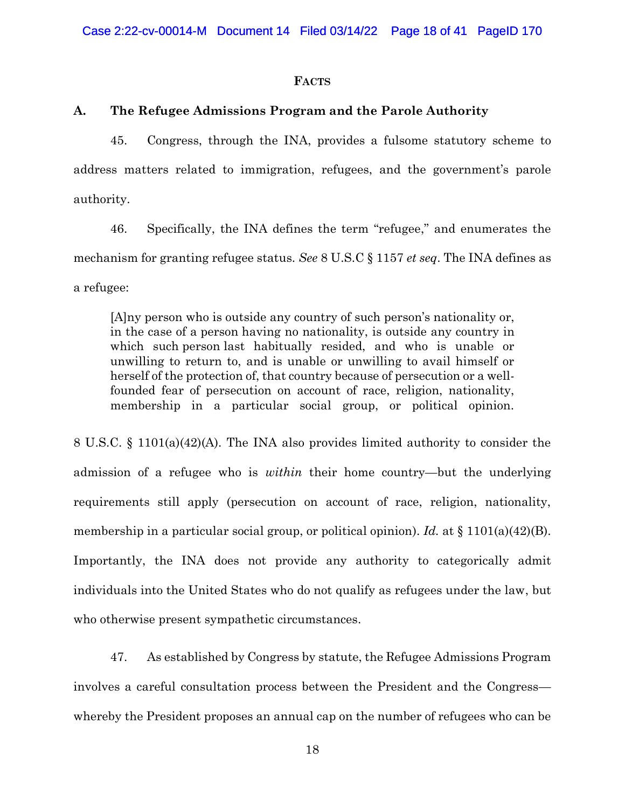#### **FACTS**

### **A. The Refugee Admissions Program and the Parole Authority**

45. Congress, through the INA, provides a fulsome statutory scheme to address matters related to immigration, refugees, and the government's parole authority.

46. Specifically, the INA defines the term "refugee," and enumerates the mechanism for granting refugee status. *See* 8 U.S.C § 1157 *et seq*. The INA defines as a refugee:

[A]ny person who is outside any country of such person's nationality or, in the case of a person having no nationality, is outside any country in which such person last habitually resided, and who is unable or unwilling to return to, and is unable or unwilling to avail himself or herself of the protection of, that country because of persecution or a wellfounded fear of persecution on account of race, religion, nationality, membership in a particular social group, or political opinion.

8 U.S.C. § 1101(a)(42)(A). The INA also provides limited authority to consider the admission of a refugee who is *within* their home country—but the underlying requirements still apply (persecution on account of race, religion, nationality, membership in a particular social group, or political opinion). *Id.* at § 1101(a)(42)(B). Importantly, the INA does not provide any authority to categorically admit individuals into the United States who do not qualify as refugees under the law, but who otherwise present sympathetic circumstances.

47. As established by Congress by statute, the Refugee Admissions Program involves a careful consultation process between the President and the Congress whereby the President proposes an annual cap on the number of refugees who can be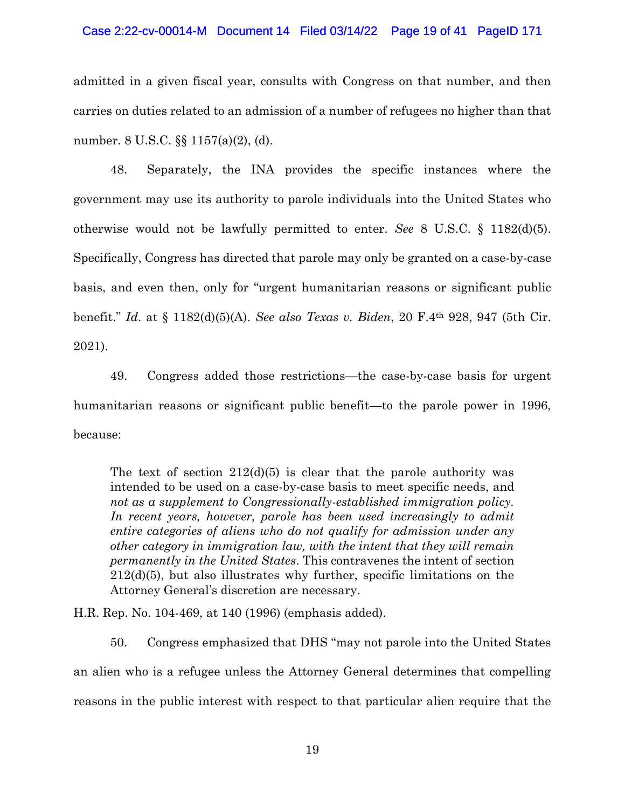#### Case 2:22-cv-00014-M Document 14 Filed 03/14/22 Page 19 of 41 PageID 171

admitted in a given fiscal year, consults with Congress on that number, and then carries on duties related to an admission of a number of refugees no higher than that number. 8 U.S.C. §§ 1157(a)(2), (d).

48. Separately, the INA provides the specific instances where the government may use its authority to parole individuals into the United States who otherwise would not be lawfully permitted to enter. *See* 8 U.S.C. § 1182(d)(5). Specifically, Congress has directed that parole may only be granted on a case-by-case basis, and even then, only for "urgent humanitarian reasons or significant public benefit." *Id*. at § 1182(d)(5)(A). *See also Texas v. Biden*, 20 F.4th 928, 947 (5th Cir. 2021).

49. Congress added those restrictions—the case-by-case basis for urgent humanitarian reasons or significant public benefit—to the parole power in 1996, because:

The text of section  $212(d)(5)$  is clear that the parole authority was intended to be used on a case-by-case basis to meet specific needs, and *not as a supplement to Congressionally-established immigration policy.*  In recent years, however, parole has been used increasingly to admit *entire categories of aliens who do not qualify for admission under any other category in immigration law, with the intent that they will remain permanently in the United States*. This contravenes the intent of section 212(d)(5), but also illustrates why further, specific limitations on the Attorney General's discretion are necessary.

H.R. Rep. No. 104-469, at 140 (1996) (emphasis added).

50. Congress emphasized that DHS "may not parole into the United States an alien who is a refugee unless the Attorney General determines that compelling reasons in the public interest with respect to that particular alien require that the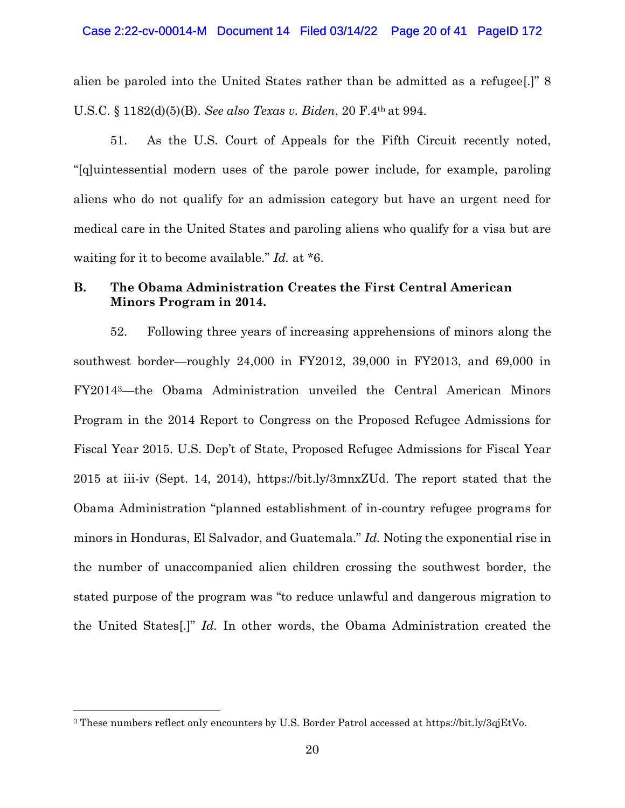#### Case 2:22-cv-00014-M Document 14 Filed 03/14/22 Page 20 of 41 PageID 172

alien be paroled into the United States rather than be admitted as a refugee[.]" 8 U.S.C. § 1182(d)(5)(B). *See also Texas v. Biden*, 20 F.4th at 994.

51. As the U.S. Court of Appeals for the Fifth Circuit recently noted, "[q]uintessential modern uses of the parole power include, for example, paroling aliens who do not qualify for an admission category but have an urgent need for medical care in the United States and paroling aliens who qualify for a visa but are waiting for it to become available." *Id.* at \*6.

## **B. The Obama Administration Creates the First Central American Minors Program in 2014.**

52. Following three years of increasing apprehensions of minors along the southwest border—roughly 24,000 in FY2012, 39,000 in FY2013, and 69,000 in FY20143—the Obama Administration unveiled the Central American Minors Program in the 2014 Report to Congress on the Proposed Refugee Admissions for Fiscal Year 2015. U.S. Dep't of State, Proposed Refugee Admissions for Fiscal Year 2015 at iii-iv (Sept. 14, 2014), https://bit.ly/3mnxZUd. The report stated that the Obama Administration "planned establishment of in-country refugee programs for minors in Honduras, El Salvador, and Guatemala." *Id.* Noting the exponential rise in the number of unaccompanied alien children crossing the southwest border, the stated purpose of the program was "to reduce unlawful and dangerous migration to the United States[.]" *Id.* In other words, the Obama Administration created the

<sup>3</sup> These numbers reflect only encounters by U.S. Border Patrol accessed at https://bit.ly/3qjEtVo.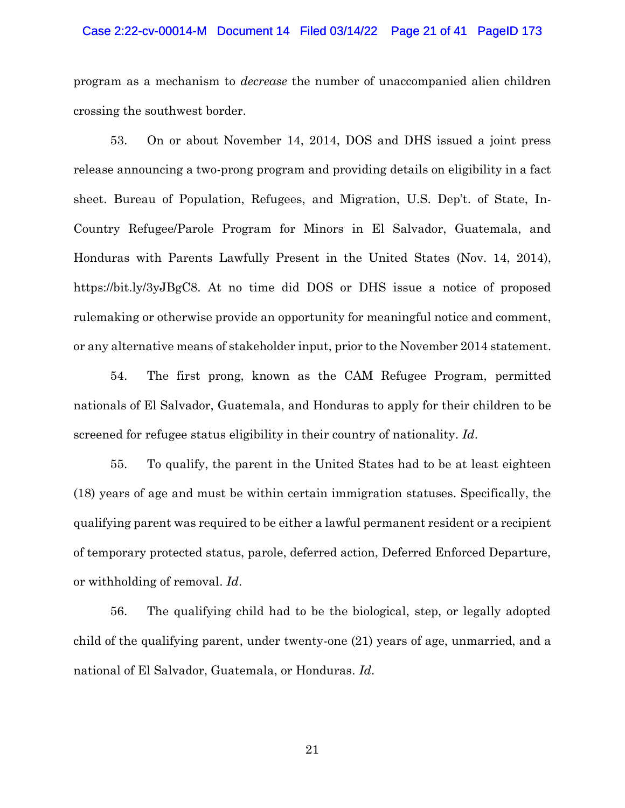#### Case 2:22-cv-00014-M Document 14 Filed 03/14/22 Page 21 of 41 PageID 173

program as a mechanism to *decrease* the number of unaccompanied alien children crossing the southwest border.

53. On or about November 14, 2014, DOS and DHS issued a joint press release announcing a two-prong program and providing details on eligibility in a fact sheet. Bureau of Population, Refugees, and Migration, U.S. Dep't. of State, In-Country Refugee/Parole Program for Minors in El Salvador, Guatemala, and Honduras with Parents Lawfully Present in the United States (Nov. 14, 2014), https://bit.ly/3yJBgC8. At no time did DOS or DHS issue a notice of proposed rulemaking or otherwise provide an opportunity for meaningful notice and comment, or any alternative means of stakeholder input, prior to the November 2014 statement.

54. The first prong, known as the CAM Refugee Program, permitted nationals of El Salvador, Guatemala, and Honduras to apply for their children to be screened for refugee status eligibility in their country of nationality. *Id*.

55. To qualify, the parent in the United States had to be at least eighteen (18) years of age and must be within certain immigration statuses. Specifically, the qualifying parent was required to be either a lawful permanent resident or a recipient of temporary protected status, parole, deferred action, Deferred Enforced Departure, or withholding of removal. *Id*.

56. The qualifying child had to be the biological, step, or legally adopted child of the qualifying parent, under twenty-one (21) years of age, unmarried, and a national of El Salvador, Guatemala, or Honduras. *Id*.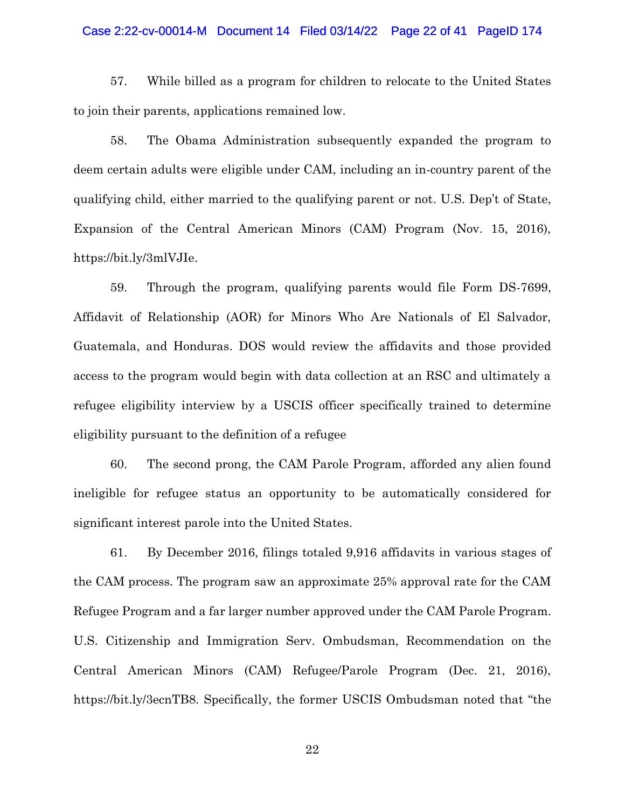#### Case 2:22-cv-00014-M Document 14 Filed 03/14/22 Page 22 of 41 PageID 174

57. While billed as a program for children to relocate to the United States to join their parents, applications remained low.

58. The Obama Administration subsequently expanded the program to deem certain adults were eligible under CAM, including an in-country parent of the qualifying child, either married to the qualifying parent or not. U.S. Dep't of State, Expansion of the Central American Minors (CAM) Program (Nov. 15, 2016), https://bit.ly/3mlVJIe.

59. Through the program, qualifying parents would file Form DS-7699, Affidavit of Relationship (AOR) for Minors Who Are Nationals of El Salvador, Guatemala, and Honduras. DOS would review the affidavits and those provided access to the program would begin with data collection at an RSC and ultimately a refugee eligibility interview by a USCIS officer specifically trained to determine eligibility pursuant to the definition of a refugee

60. The second prong, the CAM Parole Program, afforded any alien found ineligible for refugee status an opportunity to be automatically considered for significant interest parole into the United States.

61. By December 2016, filings totaled 9,916 affidavits in various stages of the CAM process. The program saw an approximate 25% approval rate for the CAM Refugee Program and a far larger number approved under the CAM Parole Program. U.S. Citizenship and Immigration Serv. Ombudsman, Recommendation on the Central American Minors (CAM) Refugee/Parole Program (Dec. 21, 2016), https://bit.ly/3ecnTB8. Specifically, the former USCIS Ombudsman noted that "the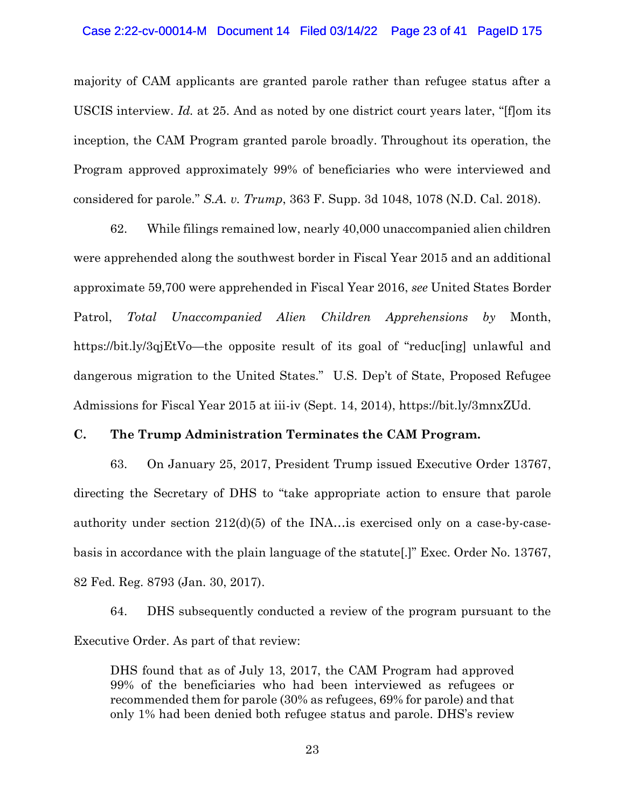#### Case 2:22-cv-00014-M Document 14 Filed 03/14/22 Page 23 of 41 PageID 175

majority of CAM applicants are granted parole rather than refugee status after a USCIS interview. *Id.* at 25. And as noted by one district court years later, "[f]om its inception, the CAM Program granted parole broadly. Throughout its operation, the Program approved approximately 99% of beneficiaries who were interviewed and considered for parole." *S.A. v. Trump*, 363 F. Supp. 3d 1048, 1078 (N.D. Cal. 2018).

62. While filings remained low, nearly 40,000 unaccompanied alien children were apprehended along the southwest border in Fiscal Year 2015 and an additional approximate 59,700 were apprehended in Fiscal Year 2016, *see* United States Border Patrol, *Total Unaccompanied Alien Children Apprehensions by* Month, https://bit.ly/3qjEtVo—the opposite result of its goal of "reduc[ing] unlawful and dangerous migration to the United States." U.S. Dep't of State, Proposed Refugee Admissions for Fiscal Year 2015 at iii-iv (Sept. 14, 2014), https://bit.ly/3mnxZUd.

## **C. The Trump Administration Terminates the CAM Program.**

63. On January 25, 2017, President Trump issued Executive Order 13767, directing the Secretary of DHS to "take appropriate action to ensure that parole authority under section 212(d)(5) of the INA…is exercised only on a case-by-casebasis in accordance with the plain language of the statute[.]" Exec. Order No. 13767, 82 Fed. Reg. 8793 (Jan. 30, 2017).

64. DHS subsequently conducted a review of the program pursuant to the Executive Order. As part of that review:

DHS found that as of July 13, 2017, the CAM Program had approved 99% of the beneficiaries who had been interviewed as refugees or recommended them for parole (30% as refugees, 69% for parole) and that only 1% had been denied both refugee status and parole. DHS's review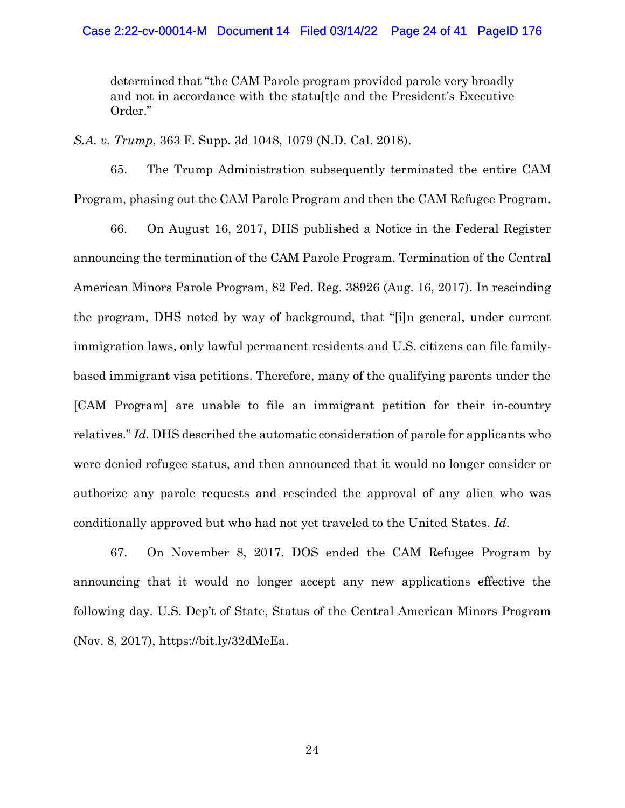determined that "the CAM Parole program provided parole very broadly and not in accordance with the statu[t]e and the President's Executive Order."

*S.A. v. Trump*, 363 F. Supp. 3d 1048, 1079 (N.D. Cal. 2018).

65. The Trump Administration subsequently terminated the entire CAM Program, phasing out the CAM Parole Program and then the CAM Refugee Program.

66. On August 16, 2017, DHS published a Notice in the Federal Register announcing the termination of the CAM Parole Program. Termination of the Central American Minors Parole Program, 82 Fed. Reg. 38926 (Aug. 16, 2017). In rescinding the program, DHS noted by way of background, that "[i]n general, under current immigration laws, only lawful permanent residents and U.S. citizens can file familybased immigrant visa petitions. Therefore, many of the qualifying parents under the [CAM Program] are unable to file an immigrant petition for their in-country relatives." *Id.* DHS described the automatic consideration of parole for applicants who were denied refugee status, and then announced that it would no longer consider or authorize any parole requests and rescinded the approval of any alien who was conditionally approved but who had not yet traveled to the United States. *Id*.

67. On November 8, 2017, DOS ended the CAM Refugee Program by announcing that it would no longer accept any new applications effective the following day. U.S. Dep't of State, Status of the Central American Minors Program (Nov. 8, 2017), https://bit.ly/32dMeEa.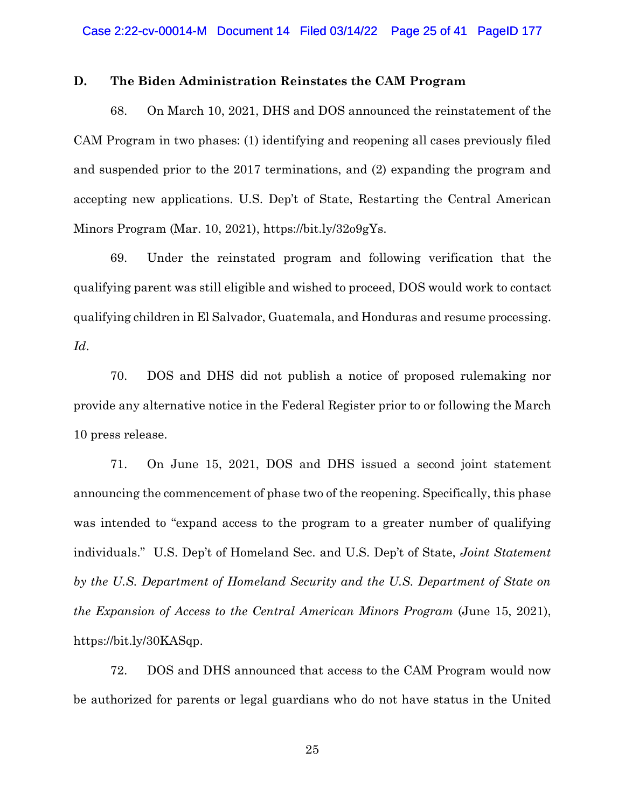#### **D. The Biden Administration Reinstates the CAM Program**

68. On March 10, 2021, DHS and DOS announced the reinstatement of the CAM Program in two phases: (1) identifying and reopening all cases previously filed and suspended prior to the 2017 terminations, and (2) expanding the program and accepting new applications. U.S. Dep't of State, Restarting the Central American Minors Program (Mar. 10, 2021), https://bit.ly/32o9gYs.

69. Under the reinstated program and following verification that the qualifying parent was still eligible and wished to proceed, DOS would work to contact qualifying children in El Salvador, Guatemala, and Honduras and resume processing. *Id*.

70. DOS and DHS did not publish a notice of proposed rulemaking nor provide any alternative notice in the Federal Register prior to or following the March 10 press release.

71. On June 15, 2021, DOS and DHS issued a second joint statement announcing the commencement of phase two of the reopening. Specifically, this phase was intended to "expand access to the program to a greater number of qualifying individuals." U.S. Dep't of Homeland Sec. and U.S. Dep't of State, *Joint Statement by the U.S. Department of Homeland Security and the U.S. Department of State on the Expansion of Access to the Central American Minors Program* (June 15, 2021), https://bit.ly/30KASqp.

72. DOS and DHS announced that access to the CAM Program would now be authorized for parents or legal guardians who do not have status in the United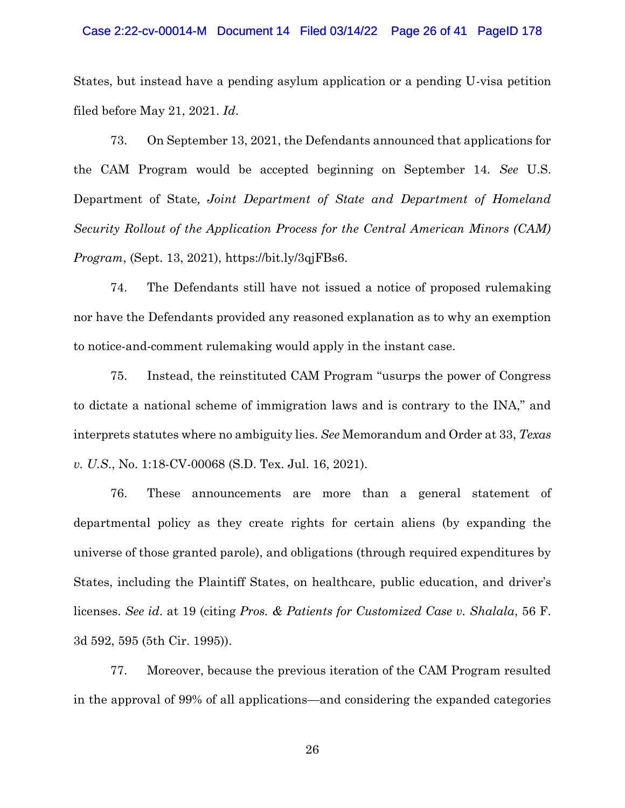#### Case 2:22-cv-00014-M Document 14 Filed 03/14/22 Page 26 of 41 PageID 178

States, but instead have a pending asylum application or a pending U-visa petition filed before May 21, 2021. *Id*.

73. On September 13, 2021, the Defendants announced that applications for the CAM Program would be accepted beginning on September 14. *See* U.S. Department of State*, Joint Department of State and Department of Homeland Security Rollout of the Application Process for the Central American Minors (CAM) Program*, (Sept. 13, 2021), https://bit.ly/3qjFBs6.

74. The Defendants still have not issued a notice of proposed rulemaking nor have the Defendants provided any reasoned explanation as to why an exemption to notice-and-comment rulemaking would apply in the instant case.

75. Instead, the reinstituted CAM Program "usurps the power of Congress to dictate a national scheme of immigration laws and is contrary to the INA," and interprets statutes where no ambiguity lies. *See* Memorandum and Order at 33, *Texas v. U.S*., No. 1:18-CV-00068 (S.D. Tex. Jul. 16, 2021).

76. These announcements are more than a general statement of departmental policy as they create rights for certain aliens (by expanding the universe of those granted parole), and obligations (through required expenditures by States, including the Plaintiff States, on healthcare, public education, and driver's licenses. *See id*. at 19 (citing *Pros. & Patients for Customized Case v. Shalala*, 56 F. 3d 592, 595 (5th Cir. 1995)).

77. Moreover, because the previous iteration of the CAM Program resulted in the approval of 99% of all applications—and considering the expanded categories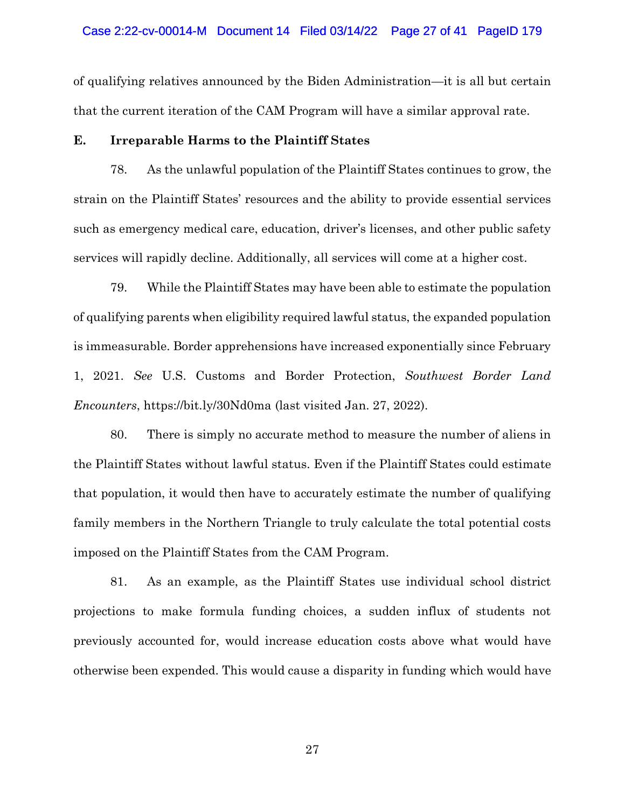#### Case 2:22-cv-00014-M Document 14 Filed 03/14/22 Page 27 of 41 PageID 179

of qualifying relatives announced by the Biden Administration—it is all but certain that the current iteration of the CAM Program will have a similar approval rate.

## **E. Irreparable Harms to the Plaintiff States**

78. As the unlawful population of the Plaintiff States continues to grow, the strain on the Plaintiff States' resources and the ability to provide essential services such as emergency medical care, education, driver's licenses, and other public safety services will rapidly decline. Additionally, all services will come at a higher cost.

79. While the Plaintiff States may have been able to estimate the population of qualifying parents when eligibility required lawful status, the expanded population is immeasurable. Border apprehensions have increased exponentially since February 1, 2021. *See* U.S. Customs and Border Protection, *Southwest Border Land Encounters*, https://bit.ly/30Nd0ma (last visited Jan. 27, 2022).

80. There is simply no accurate method to measure the number of aliens in the Plaintiff States without lawful status. Even if the Plaintiff States could estimate that population, it would then have to accurately estimate the number of qualifying family members in the Northern Triangle to truly calculate the total potential costs imposed on the Plaintiff States from the CAM Program.

81. As an example, as the Plaintiff States use individual school district projections to make formula funding choices, a sudden influx of students not previously accounted for, would increase education costs above what would have otherwise been expended. This would cause a disparity in funding which would have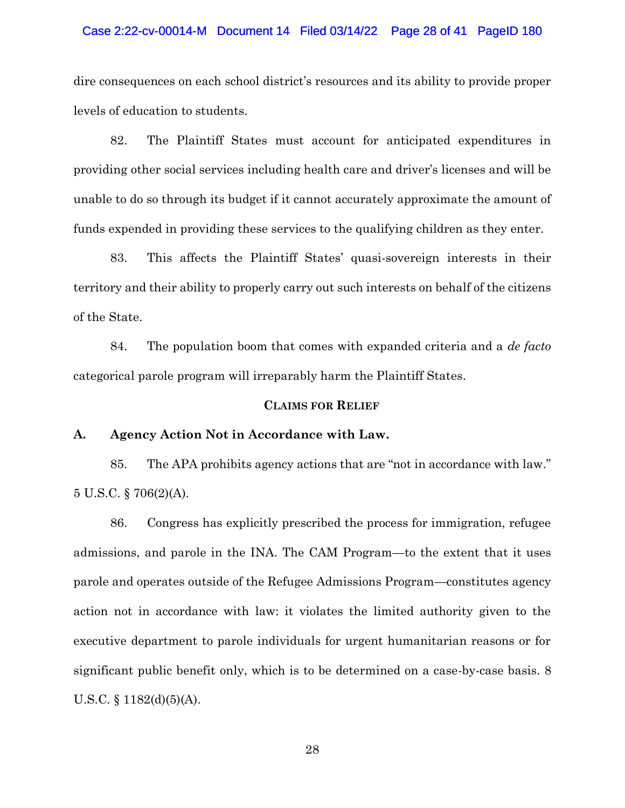#### Case 2:22-cv-00014-M Document 14 Filed 03/14/22 Page 28 of 41 PageID 180

dire consequences on each school district's resources and its ability to provide proper levels of education to students.

82. The Plaintiff States must account for anticipated expenditures in providing other social services including health care and driver's licenses and will be unable to do so through its budget if it cannot accurately approximate the amount of funds expended in providing these services to the qualifying children as they enter.

83. This affects the Plaintiff States' quasi-sovereign interests in their territory and their ability to properly carry out such interests on behalf of the citizens of the State.

84. The population boom that comes with expanded criteria and a *de facto* categorical parole program will irreparably harm the Plaintiff States.

#### **CLAIMS FOR RELIEF**

### **A. Agency Action Not in Accordance with Law.**

85. The APA prohibits agency actions that are "not in accordance with law." 5 U.S.C. § 706(2)(A).

86. Congress has explicitly prescribed the process for immigration, refugee admissions, and parole in the INA. The CAM Program—to the extent that it uses parole and operates outside of the Refugee Admissions Program—constitutes agency action not in accordance with law: it violates the limited authority given to the executive department to parole individuals for urgent humanitarian reasons or for significant public benefit only, which is to be determined on a case-by-case basis. 8 U.S.C.  $\S$  1182(d)(5)(A).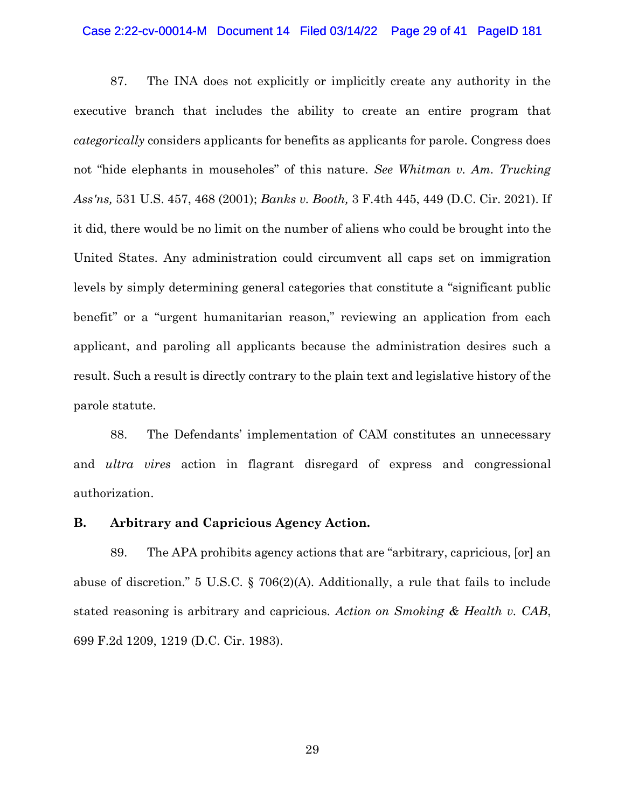#### Case 2:22-cv-00014-M Document 14 Filed 03/14/22 Page 29 of 41 PageID 181

87. The INA does not explicitly or implicitly create any authority in the executive branch that includes the ability to create an entire program that *categorically* considers applicants for benefits as applicants for parole. Congress does not "hide elephants in mouseholes" of this nature. *See Whitman v. Am. Trucking Ass'ns,* 531 U.S. 457, 468 (2001); *Banks v. Booth,* 3 F.4th 445, 449 (D.C. Cir. 2021). If it did, there would be no limit on the number of aliens who could be brought into the United States. Any administration could circumvent all caps set on immigration levels by simply determining general categories that constitute a "significant public benefit" or a "urgent humanitarian reason," reviewing an application from each applicant, and paroling all applicants because the administration desires such a result. Such a result is directly contrary to the plain text and legislative history of the parole statute.

88. The Defendants' implementation of CAM constitutes an unnecessary and *ultra vires* action in flagrant disregard of express and congressional authorization.

## **B. Arbitrary and Capricious Agency Action.**

89. The APA prohibits agency actions that are "arbitrary, capricious, [or] an abuse of discretion." 5 U.S.C. § 706(2)(A). Additionally, a rule that fails to include stated reasoning is arbitrary and capricious. *Action on Smoking & Health v. CAB*, 699 F.2d 1209, 1219 (D.C. Cir. 1983).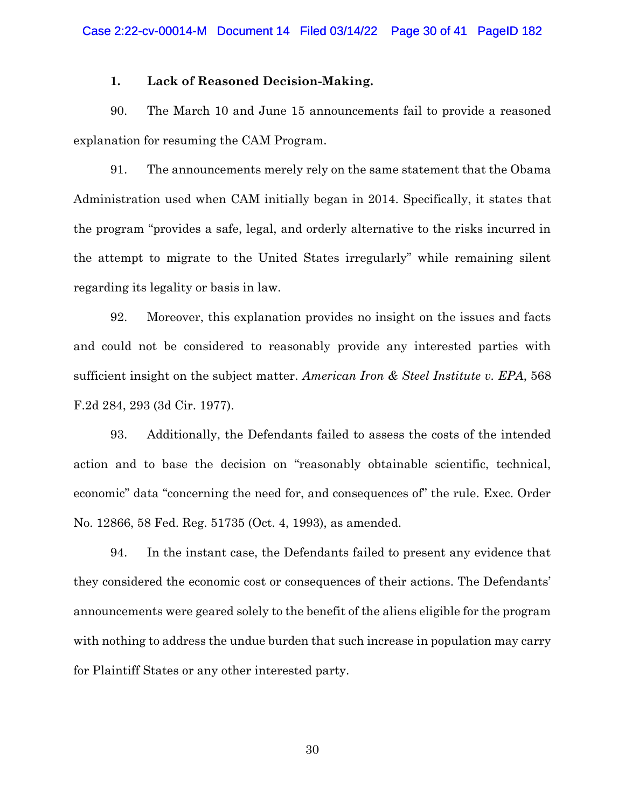#### **1. Lack of Reasoned Decision-Making.**

90. The March 10 and June 15 announcements fail to provide a reasoned explanation for resuming the CAM Program.

91. The announcements merely rely on the same statement that the Obama Administration used when CAM initially began in 2014. Specifically, it states that the program "provides a safe, legal, and orderly alternative to the risks incurred in the attempt to migrate to the United States irregularly" while remaining silent regarding its legality or basis in law.

92. Moreover, this explanation provides no insight on the issues and facts and could not be considered to reasonably provide any interested parties with sufficient insight on the subject matter. *American Iron & Steel Institute v. EPA*, 568 F.2d 284, 293 (3d Cir. 1977).

93. Additionally, the Defendants failed to assess the costs of the intended action and to base the decision on "reasonably obtainable scientific, technical, economic" data "concerning the need for, and consequences of" the rule. Exec. Order No. 12866, 58 Fed. Reg. 51735 (Oct. 4, 1993), as amended.

94. In the instant case, the Defendants failed to present any evidence that they considered the economic cost or consequences of their actions. The Defendants' announcements were geared solely to the benefit of the aliens eligible for the program with nothing to address the undue burden that such increase in population may carry for Plaintiff States or any other interested party.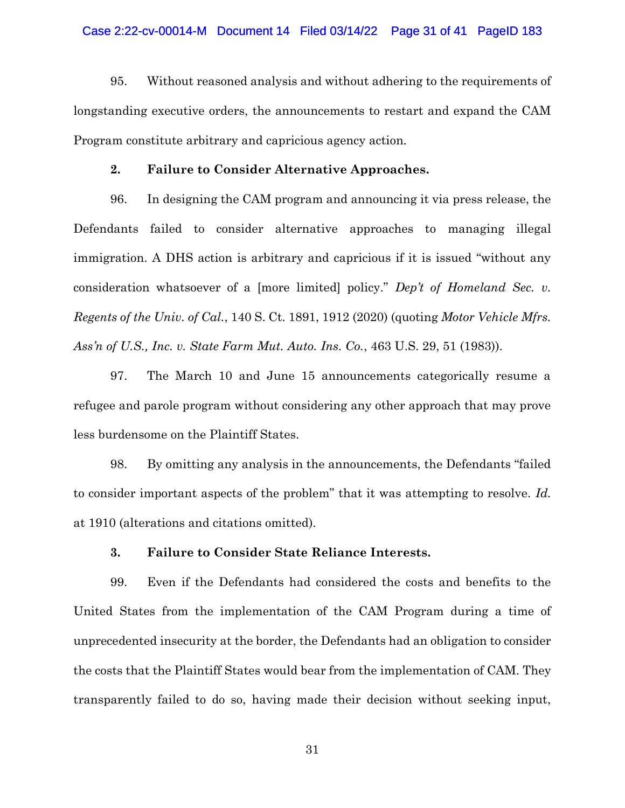95. Without reasoned analysis and without adhering to the requirements of longstanding executive orders, the announcements to restart and expand the CAM Program constitute arbitrary and capricious agency action.

#### **2. Failure to Consider Alternative Approaches.**

96. In designing the CAM program and announcing it via press release, the Defendants failed to consider alternative approaches to managing illegal immigration. A DHS action is arbitrary and capricious if it is issued "without any consideration whatsoever of a [more limited] policy." *Dep't of Homeland Sec. v. Regents of the Univ. of Cal.*, 140 S. Ct. 1891, 1912 (2020) (quoting *Motor Vehicle Mfrs. Ass'n of U.S., Inc. v. State Farm Mut. Auto. Ins. Co.*, 463 U.S. 29, 51 (1983)).

97. The March 10 and June 15 announcements categorically resume a refugee and parole program without considering any other approach that may prove less burdensome on the Plaintiff States.

98. By omitting any analysis in the announcements, the Defendants "failed to consider important aspects of the problem" that it was attempting to resolve. *Id.* at 1910 (alterations and citations omitted).

## **3. Failure to Consider State Reliance Interests.**

99. Even if the Defendants had considered the costs and benefits to the United States from the implementation of the CAM Program during a time of unprecedented insecurity at the border, the Defendants had an obligation to consider the costs that the Plaintiff States would bear from the implementation of CAM. They transparently failed to do so, having made their decision without seeking input,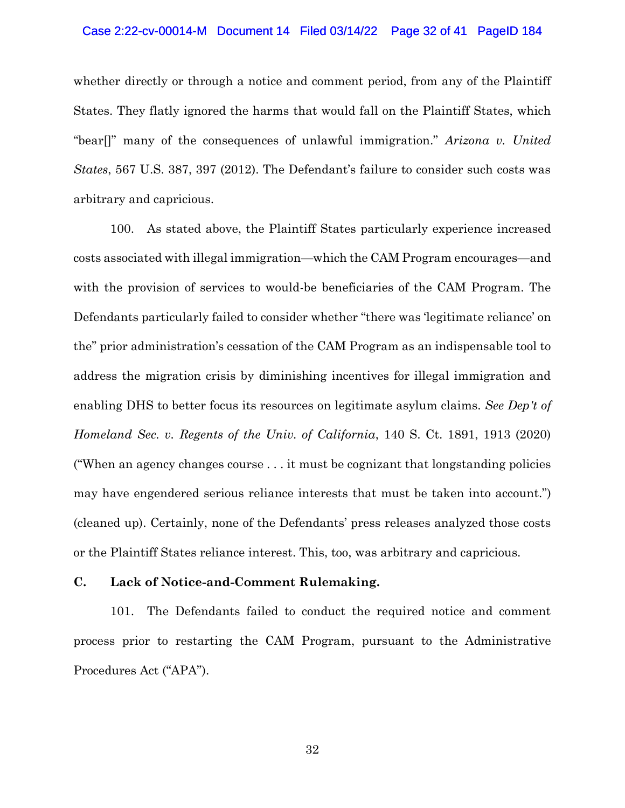#### Case 2:22-cv-00014-M Document 14 Filed 03/14/22 Page 32 of 41 PageID 184

whether directly or through a notice and comment period, from any of the Plaintiff States. They flatly ignored the harms that would fall on the Plaintiff States, which "bear[]" many of the consequences of unlawful immigration." *Arizona v. United States*, 567 U.S. 387, 397 (2012). The Defendant's failure to consider such costs was arbitrary and capricious.

100. As stated above, the Plaintiff States particularly experience increased costs associated with illegal immigration—which the CAM Program encourages—and with the provision of services to would-be beneficiaries of the CAM Program. The Defendants particularly failed to consider whether "there was 'legitimate reliance' on the" prior administration's cessation of the CAM Program as an indispensable tool to address the migration crisis by diminishing incentives for illegal immigration and enabling DHS to better focus its resources on legitimate asylum claims. *See Dep't of Homeland Sec. v. Regents of the Univ. of California*, 140 S. Ct. 1891, 1913 (2020) ("When an agency changes course . . . it must be cognizant that longstanding policies may have engendered serious reliance interests that must be taken into account.") (cleaned up). Certainly, none of the Defendants' press releases analyzed those costs or the Plaintiff States reliance interest. This, too, was arbitrary and capricious.

## **C. Lack of Notice-and-Comment Rulemaking.**

101. The Defendants failed to conduct the required notice and comment process prior to restarting the CAM Program, pursuant to the Administrative Procedures Act ("APA").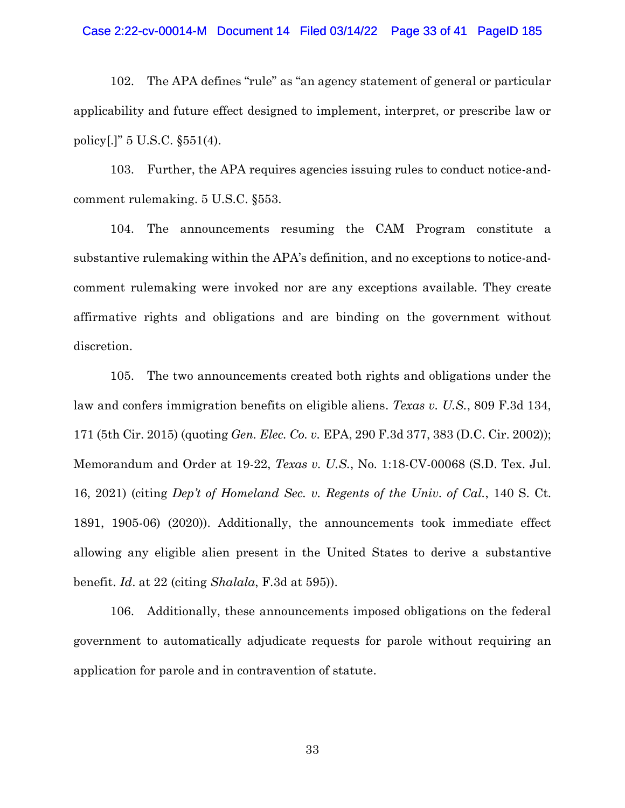## Case 2:22-cv-00014-M Document 14 Filed 03/14/22 Page 33 of 41 PageID 185

102. The APA defines "rule" as "an agency statement of general or particular applicability and future effect designed to implement, interpret, or prescribe law or policy[.]" 5 U.S.C. §551(4).

103. Further, the APA requires agencies issuing rules to conduct notice-andcomment rulemaking. 5 U.S.C. §553.

104. The announcements resuming the CAM Program constitute a substantive rulemaking within the APA's definition, and no exceptions to notice-andcomment rulemaking were invoked nor are any exceptions available. They create affirmative rights and obligations and are binding on the government without discretion.

105. The two announcements created both rights and obligations under the law and confers immigration benefits on eligible aliens. *Texas v. U.S.*, 809 F.3d 134, 171 (5th Cir. 2015) (quoting *Gen. Elec. Co. v.* EPA, 290 F.3d 377, 383 (D.C. Cir. 2002)); Memorandum and Order at 19-22, *Texas v. U.S.*, No. 1:18-CV-00068 (S.D. Tex. Jul. 16, 2021) (citing *Dep't of Homeland Sec. v. Regents of the Univ. of Cal.*, 140 S. Ct. 1891, 1905-06) (2020)). Additionally, the announcements took immediate effect allowing any eligible alien present in the United States to derive a substantive benefit. *Id*. at 22 (citing *Shalala*, F.3d at 595)).

106. Additionally, these announcements imposed obligations on the federal government to automatically adjudicate requests for parole without requiring an application for parole and in contravention of statute.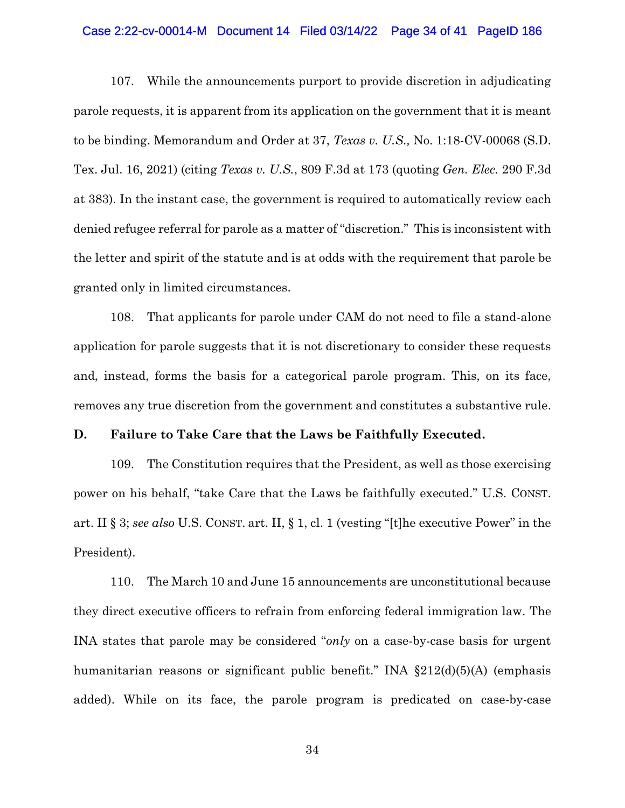#### Case 2:22-cv-00014-M Document 14 Filed 03/14/22 Page 34 of 41 PageID 186

107. While the announcements purport to provide discretion in adjudicating parole requests, it is apparent from its application on the government that it is meant to be binding. Memorandum and Order at 37, *Texas v. U.S.,* No. 1:18-CV-00068 (S.D. Tex. Jul. 16, 2021) (citing *Texas v. U.S.*, 809 F.3d at 173 (quoting *Gen. Elec.* 290 F.3d at 383). In the instant case, the government is required to automatically review each denied refugee referral for parole as a matter of "discretion." This is inconsistent with the letter and spirit of the statute and is at odds with the requirement that parole be granted only in limited circumstances.

108. That applicants for parole under CAM do not need to file a stand-alone application for parole suggests that it is not discretionary to consider these requests and, instead, forms the basis for a categorical parole program. This, on its face, removes any true discretion from the government and constitutes a substantive rule.

#### **D. Failure to Take Care that the Laws be Faithfully Executed.**

109. The Constitution requires that the President, as well as those exercising power on his behalf, "take Care that the Laws be faithfully executed." U.S. CONST. art. II § 3; *see also* U.S. CONST. art. II, § 1, cl. 1 (vesting "[t]he executive Power" in the President).

110. The March 10 and June 15 announcements are unconstitutional because they direct executive officers to refrain from enforcing federal immigration law. The INA states that parole may be considered "*only* on a case-by-case basis for urgent humanitarian reasons or significant public benefit." INA §212(d)(5)(A) (emphasis added). While on its face, the parole program is predicated on case-by-case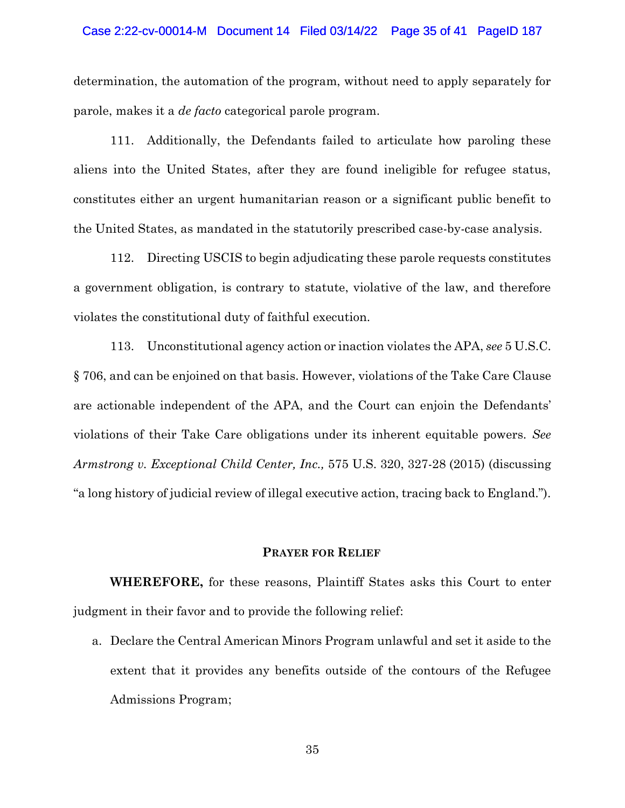#### Case 2:22-cv-00014-M Document 14 Filed 03/14/22 Page 35 of 41 PageID 187

determination, the automation of the program, without need to apply separately for parole, makes it a *de facto* categorical parole program.

111. Additionally, the Defendants failed to articulate how paroling these aliens into the United States, after they are found ineligible for refugee status, constitutes either an urgent humanitarian reason or a significant public benefit to the United States, as mandated in the statutorily prescribed case-by-case analysis.

112. Directing USCIS to begin adjudicating these parole requests constitutes a government obligation, is contrary to statute, violative of the law, and therefore violates the constitutional duty of faithful execution.

113. Unconstitutional agency action or inaction violates the APA, *see* 5 U.S.C. § 706, and can be enjoined on that basis. However, violations of the Take Care Clause are actionable independent of the APA, and the Court can enjoin the Defendants' violations of their Take Care obligations under its inherent equitable powers. *See Armstrong v. Exceptional Child Center, Inc.,* 575 U.S. 320, 327-28 (2015) (discussing "a long history of judicial review of illegal executive action, tracing back to England.").

#### **PRAYER FOR RELIEF**

**WHEREFORE,** for these reasons, Plaintiff States asks this Court to enter judgment in their favor and to provide the following relief:

a. Declare the Central American Minors Program unlawful and set it aside to the extent that it provides any benefits outside of the contours of the Refugee Admissions Program;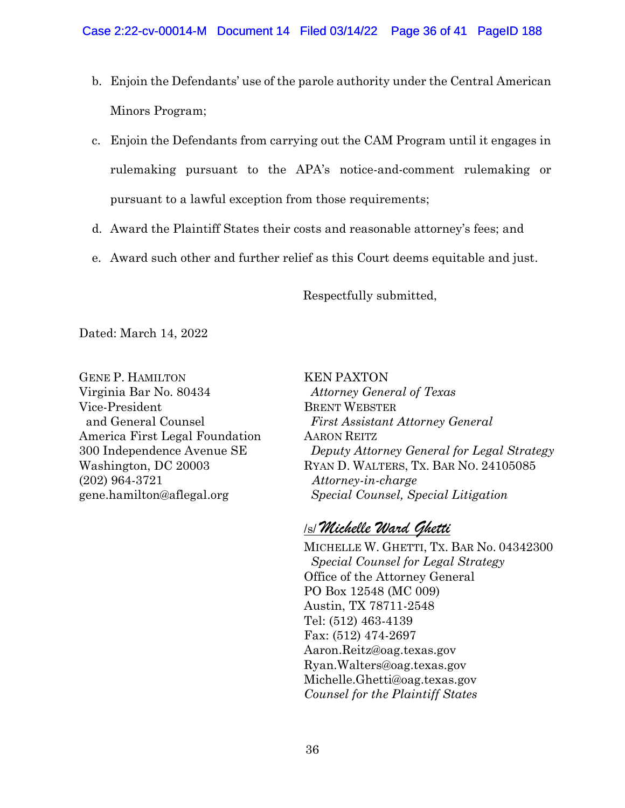- b. Enjoin the Defendants' use of the parole authority under the Central American Minors Program;
- c. Enjoin the Defendants from carrying out the CAM Program until it engages in rulemaking pursuant to the APA's notice-and-comment rulemaking or pursuant to a lawful exception from those requirements;
- d. Award the Plaintiff States their costs and reasonable attorney's fees; and
- e. Award such other and further relief as this Court deems equitable and just.

Respectfully submitted,

KEN PAXTON

Dated: March 14, 2022

GENE P. HAMILTON Virginia Bar No. 80434 Vice-President and General Counsel America First Legal Foundation 300 Independence Avenue SE Washington, DC 20003 (202) 964-3721 gene.hamilton@aflegal.org

 *Attorney General of Texas* BRENT WEBSTER *First Assistant Attorney General* AARON REITZ *Deputy Attorney General for Legal Strategy* RYAN D. WALTERS, TX. BAR NO. 24105085 *Attorney-in-charge Special Counsel, Special Litigation*

# /s/ *Michelle Ward Ghetti*

MICHELLE W. GHETTI, TX. BAR No. 04342300 *Special Counsel for Legal Strategy* Office of the Attorney General PO Box 12548 (MC 009) Austin, TX 78711-2548 Tel: (512) 463-4139 Fax: (512) 474-2697 Aaron.Reitz@oag.texas.gov Ryan.Walters@oag.texas.gov Michelle.Ghetti@oag.texas.gov *Counsel for the Plaintiff States*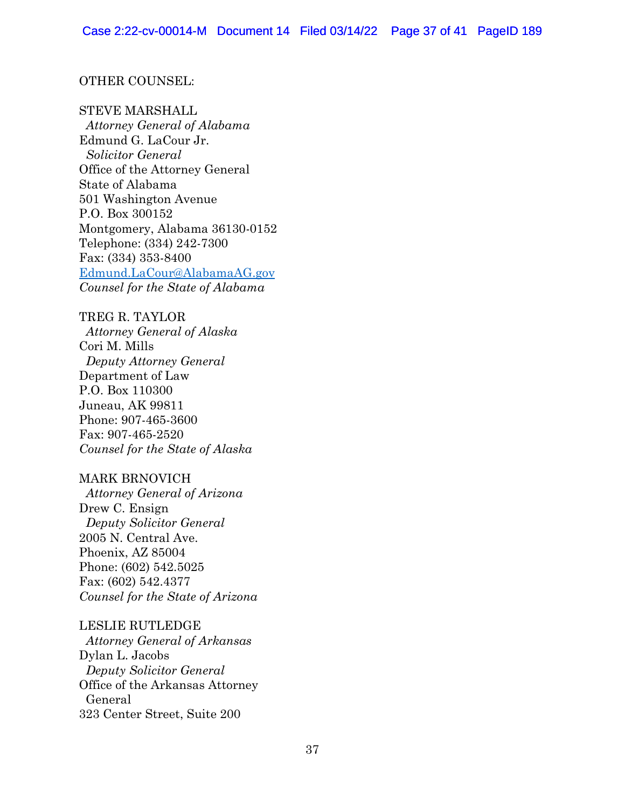## OTHER COUNSEL:

## STEVE MARSHALL

 *Attorney General of Alabama* Edmund G. LaCour Jr. *Solicitor General* Office of the Attorney General State of Alabama 501 Washington Avenue P.O. Box 300152 Montgomery, Alabama 36130-0152 Telephone: (334) 242-7300 Fax: (334) 353-8400 [Edmund.LaCour@AlabamaAG.gov](mailto:Edmund.LaCour@AlabamaAG.gov) *Counsel for the State of Alabama*

TREG R. TAYLOR *Attorney General of Alaska* Cori M. Mills *Deputy Attorney General* Department of Law P.O. Box 110300 Juneau, AK 99811 Phone: 907-465-3600 Fax: 907-465-2520 *Counsel for the State of Alaska*

## MARK BRNOVICH

 *Attorney General of Arizona* Drew C. Ensign *Deputy Solicitor General* 2005 N. Central Ave. Phoenix, AZ 85004 Phone: (602) 542.5025 Fax: (602) 542.4377 *Counsel for the State of Arizona* 

### LESLIE RUTLEDGE

 *Attorney General of Arkansas* Dylan L. Jacobs *Deputy Solicitor General* Office of the Arkansas Attorney General 323 Center Street, Suite 200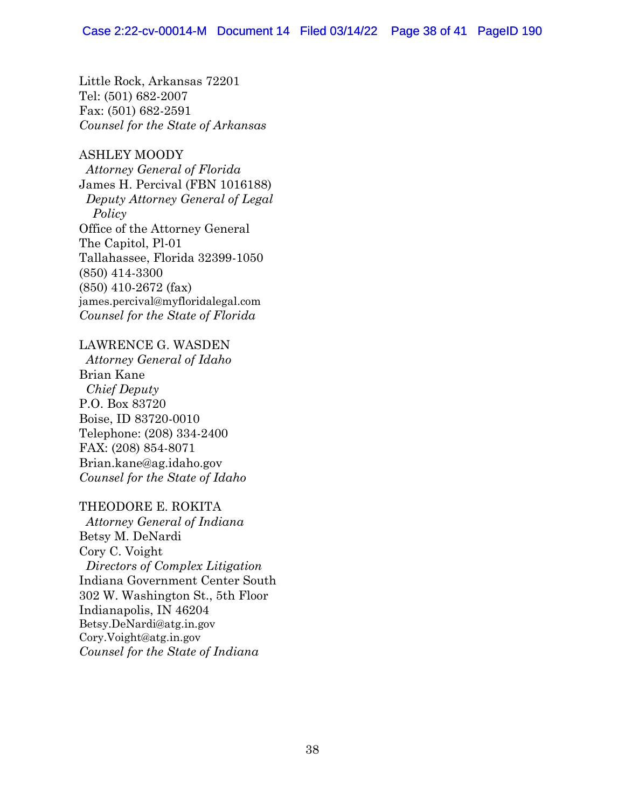Little Rock, Arkansas 72201 Tel: (501) 682-2007 Fax: (501) 682-2591 *Counsel for the State of Arkansas*

ASHLEY MOODY  *Attorney General of Florida* James H. Percival (FBN 1016188) *Deputy Attorney General of Legal Policy* Office of the Attorney General The Capitol, Pl-01 Tallahassee, Florida 32399-1050 (850) 414-3300 (850) 410-2672 (fax) james.percival@myfloridalegal.com *Counsel for the State of Florida*

# LAWRENCE G. WASDEN

 *Attorney General of Idaho* Brian Kane *Chief Deputy* P.O. Box 83720 Boise, ID 83720-0010 Telephone: (208) 334-2400 FAX: (208) 854-8071 Brian.kane@ag.idaho.gov *Counsel for the State of Idaho*

## THEODORE E. ROKITA

 *Attorney General of Indiana* Betsy M. DeNardi Cory C. Voight *Directors of Complex Litigation* Indiana Government Center South 302 W. Washington St., 5th Floor Indianapolis, IN 46204 Betsy.DeNardi@atg.in.gov Cory.Voight@atg.in.gov *Counsel for the State of Indiana*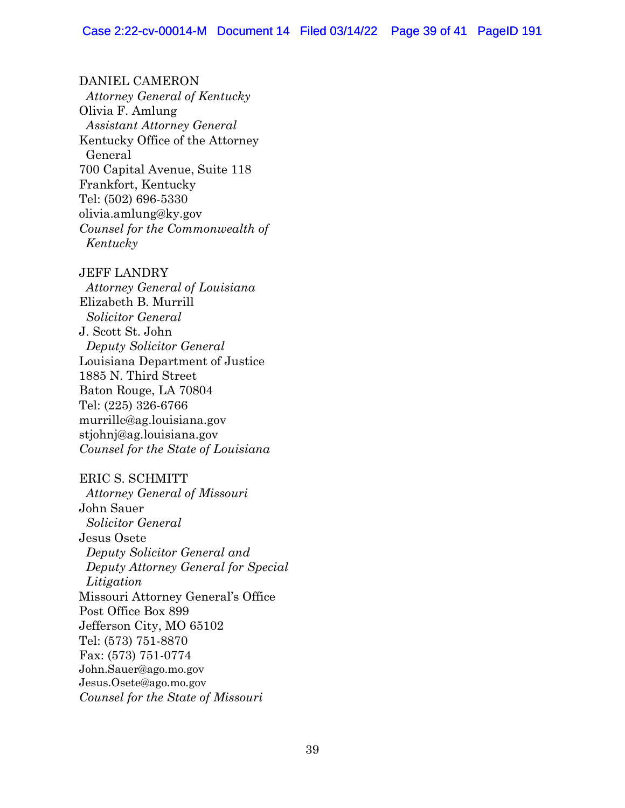DANIEL CAMERON *Attorney General of Kentucky*  Olivia F. Amlung *Assistant Attorney General* Kentucky Office of the Attorney General 700 Capital Avenue, Suite 118 Frankfort, Kentucky Tel: (502) 696-5330 olivia.amlung@ky.gov *Counsel for the Commonwealth of Kentucky*

JEFF LANDRY

 *Attorney General of Louisiana* Elizabeth B. Murrill *Solicitor General* J. Scott St. John *Deputy Solicitor General* Louisiana Department of Justice 1885 N. Third Street Baton Rouge, LA 70804 Tel: (225) 326-6766 murrille@ag.louisiana.gov stjohnj@ag.louisiana.gov *Counsel for the State of Louisiana*

## ERIC S. SCHMITT

 *Attorney General of Missouri* John Sauer *Solicitor General* Jesus Osete  *Deputy Solicitor General and Deputy Attorney General for Special Litigation* Missouri Attorney General's Office Post Office Box 899 Jefferson City, MO 65102 Tel: (573) 751-8870 Fax: (573) 751-0774 John.Sauer@ago.mo.gov Jesus.Osete@ago.mo.gov *Counsel for the State of Missouri*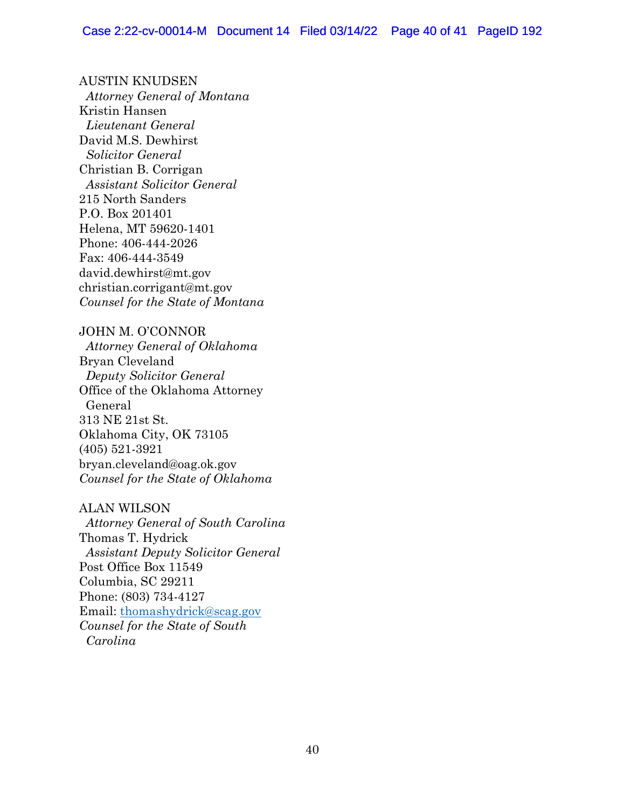AUSTIN KNUDSEN *Attorney General of Montana* Kristin Hansen *Lieutenant General* David M.S. Dewhirst *Solicitor General* Christian B. Corrigan *Assistant Solicitor General* 215 North Sanders P.O. Box 201401 Helena, MT 59620-1401 Phone: 406-444-2026 Fax: 406-444-3549 david.dewhirst@mt.gov christian.corrigant@mt.gov *Counsel for the State of Montana*

JOHN M. O'CONNOR  *Attorney General of Oklahoma* Bryan Cleveland  *Deputy Solicitor General*  Office of the Oklahoma Attorney General 313 NE 21st St. Oklahoma City, OK 73105 (405) 521-3921 bryan.cleveland@oag.ok.gov *Counsel for the State of Oklahoma*

## ALAN WILSON

*Attorney General of South Carolina*  Thomas T. Hydrick *Assistant Deputy Solicitor General* Post Office Box 11549 Columbia, SC 29211 Phone: (803) 734-4127 Email: [thomashydrick@scag.gov](mailto:thomashydrick@scag.gov) *Counsel for the State of South Carolina*